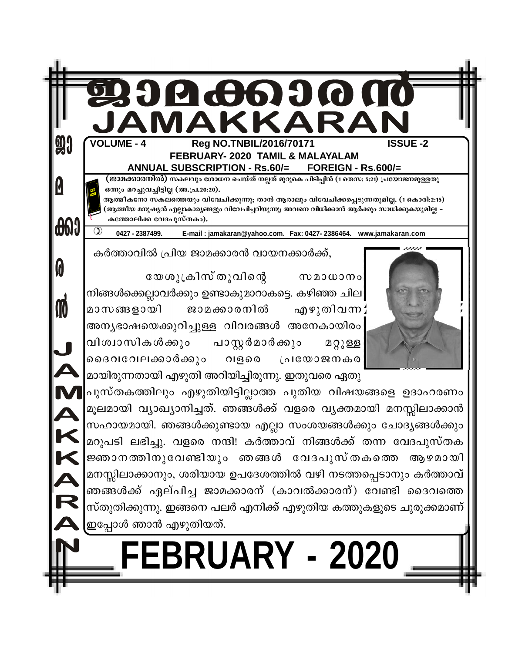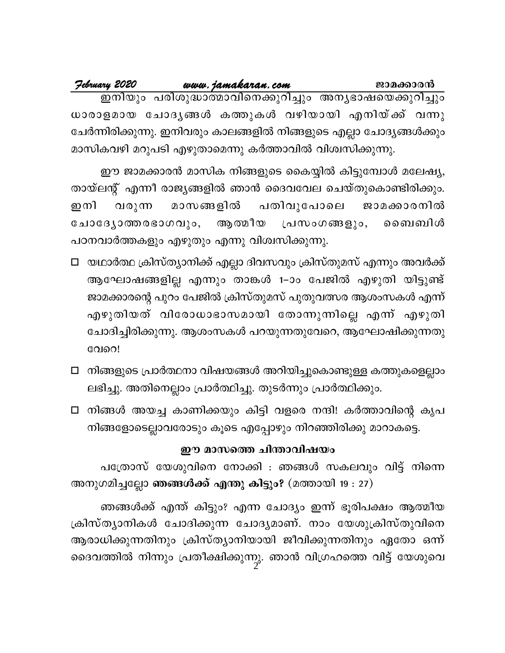| Jebruary 2020                                                       | www.jamakaran.com |  | ജാമക്കാരൻ |  |
|---------------------------------------------------------------------|-------------------|--|-----------|--|
|                                                                     |                   |  |           |  |
| ധാരാളമായ ചോദൃങ്ങൾ കത്തുകൾ വഴിയായി എനിയ്ക്ക് വന്നു                   |                   |  |           |  |
| ചേർന്നിരിക്കുന്നു. ഇനിവരും കാലങ്ങളിൽ നിങ്ങളുടെ എല്ലാ ചോദ്യങ്ങൾക്കും |                   |  |           |  |
| മാസികവഴി മറുപടി എഴുതാമെന്നു കർത്താവിൽ വിശ്വസിക്കുന്നു.              |                   |  |           |  |

ഈ ജാമക്കാരൻ മാസിക നിങ്ങളുടെ കൈയ്യിൽ കിട്ടുമ്പോൾ മലേഷ്യ, തായ്ലന്റ് എന്നീ രാജ്യങ്ങളിൽ ഞാൻ ദൈവവേല ചെയ്തുകൊണ്ടിരിക്കും. വരുന്ന മാസങ്ങളിൽ പതിവുപോലെ ഇനി ജാമക്കാരനിൽ ചോദ്യോത്തരഭാഗവും, ആത്മീയ മൈബിൾ പ്രസംഗങ്ങളും, പഠനവാർത്തകളും എഴുതും എന്നു വിശ്വസിക്കുന്നു.

- □ യഥാർത്ഥ ക്രിസ്ത്യാനിക്ക് എല്ലാ ദിവസവും ക്രിസ്തുമസ് എന്നും അവർക്ക് ആഘോഷങ്ങളില്ല എന്നും താങ്കൾ 1–ാം പേജിൽ എഴുതി യിട്ടുണ്ട് ജാമക്കാരന്റെ പുറം പേജിൽ ക്രിസ്തുമസ് പുതുവത്സര ആശംസകൾ എന്ന് എഴുതിയത് വിരോധാഭാസമായി തോന്നുന്നില്ലെ എന്ന് എഴുതി ചോദിച്ചിരിക്കുന്നു. ആശംസകൾ പറയുന്നതുവേറെ, ആഘോഷിക്കുന്നതു വേറെ!
- □ നിങ്ങളുടെ പ്രാർത്ഥനാ വിഷയങ്ങൾ അറിയിച്ചുകൊണ്ടുള്ള കത്തുകളെല്ലാം ലഭിച്ചു. അതിനെല്ലാം പ്രാർത്ഥിച്ചു. തുടർന്നും പ്രാർത്ഥിക്കും.
- □ നിങ്ങൾ അയച്ച കാണിക്കയും കിട്ടി വളരെ നന്ദി! കർത്താവിന്റെ കൃപ നിങ്ങളോടെല്ലാവരോടും കൂടെ എപ്പോഴും നിറഞ്ഞിരിക്കു മാറാകട്ടെ.

#### ഈ മാസത്തെ ചിന്താവിഷയം

പത്രോസ് യേശുവിനെ നോക്കി : ഞങ്ങൾ സകലവും വിട്ട് നിന്നെ അനുഗമിച്ചല്ലോ ഞങ്ങൾക്ക് എന്തു കിട്ടും? (മത്തായി 19 : 27)

ഞങ്ങൾക്ക് എന്ത് കിട്ടും? എന്ന ചോദ്യം ഇന്ന് ഭൂരിപക്ഷം ആത്മീയ ക്രിസ്ത്യാനികൾ ചോദിക്കുന്ന ചോദ്യമാണ്. നാം യേശുക്രിസ്തുവിനെ ആരാധിക്കുന്നതിനും ക്രിസ്ത്യാനിയായി ജീവിക്കുന്നതിനും ഏതോ ഒന്ന് ദൈവത്തിൽ നിന്നും പ്രതീക്ഷിക്കുന്നു. ഞാൻ വിഗ്രഹത്തെ വിട്ട് യേശുവെ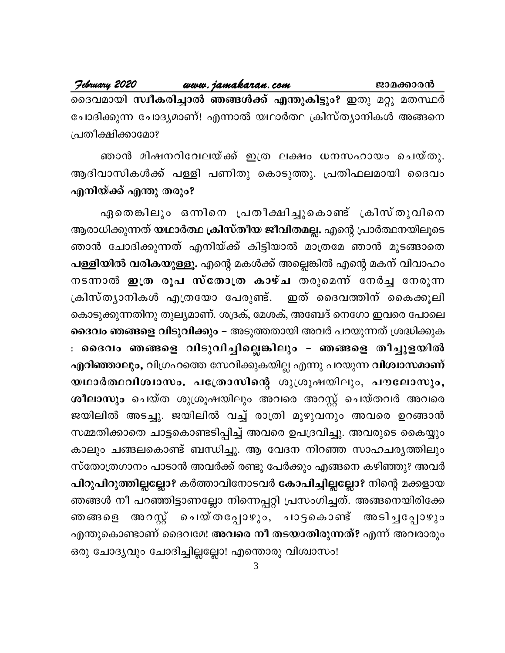February 2020 www.jamakaran.com ജാമക്കാരൻ ദൈവമായി സ്ഥീകരിച്ചാൽ ഞങ്ങൾക്ക് എന്തുകിട്ടും? ഇതു മറ്റു മതസ്ഥർ ചോദിക്കുന്ന ചോദ്യമാണ്! എന്നാൽ യഥാർത്ഥ ക്രിസ്ത്യാനികൾ അങ്ങനെ പ്രതീക്ഷിക്കാമോ?

ഞാൻ മിഷനറിവേലയ്ക്ക് ഇത്ര ലക്ഷം ധനസഹായം ചെയ്തു. ആദിവാസികൾക്ക് പള്ളി പണിതു കൊടുത്തു. പ്രതിഫലമായി ദൈവം എനിയ്ക്ക് എന്തു തരും?

ഏതെങ്കിലും ഒന്നിനെ പ്രതീക്ഷിച്ചുകൊണ്ട് ക്രിസ്തുവിനെ ആരാധിക്കുന്നത് യഥാർത്ഥ ക്രിസ്തീയ ജീവിതമല്ല. എന്റെ പ്രാർത്ഥനയിലൂടെ ഞാൻ ചോദിക്കുന്നത് എനിയ്ക്ക് കിട്ടിയാൽ മാത്രമേ ഞാൻ മുടങ്ങാതെ പള്ളിയിൽ വരികയുള്ളൂ. എന്റെ മകൾക്ക് അല്ലെങ്കിൽ എന്റെ മകന് വിവാഹം നടന്നാൽ ഇത്ര രൂപ സ്തോത്ര കാഴ്ച തരുമെന്ന് നേർച്ച നേരുന്ന ക്രിസ്ത്യാനികൾ എത്രയോ പേരുണ്ട്. ഇത് ദൈവത്തിന് കൈക്കൂലി കൊടുക്കുന്നതിനു തുല്യമാണ്. ശദ്രക്, മേശക്, അബേദ് നെഗോ ഇവരെ പോലെ ദൈവം ഞങ്ങളെ വിടുവിക്കും – അടുത്തതായി അവർ പറയുന്നത് ശ്രദ്ധിക്കുക : ദൈവം ഞങ്ങളെ വിടുവിച്ചില്ലെങ്കിലും - ഞങ്ങളെ തീച്ചൂളയിൽ എറിഞ്ഞാലും, വിഗ്രഹത്തെ സേവിക്കുകയില്ല എന്നു പറയുന്ന വിശ്വാസമാണ് യഥാർത്ഥവിശ്വാസം. പത്രോസിന്റെ ശുശ്രൂഷയിലും, പൗലോസും, ശീലാസും ചെയ്ത ശുശ്രൂഷയിലും അവരെ അറസ്റ്റ് ചെയ്തവർ അവരെ ജയിലിൽ അടച്ചു. ജയിലിൽ വച്ച് രാത്രി മുഴുവനും അവരെ ഉറങ്ങാൻ സമ്മതിക്കാതെ ചാട്ടകൊണ്ടടിപ്പിച്ച് അവരെ ഉപദ്രവിച്ചു. അവരുടെ കൈയ്യും കാലും ചങ്ങലകൊണ്ട് ബന്ധിച്ചു. ആ വേദന നിറഞ്ഞ സാഹചര്യത്തിലും സ്തോത്രഗാനം പാടാൻ അവർക്ക് രണ്ടു പേർക്കും എങ്ങനെ കഴിഞ്ഞു? അവർ പിറുപിറുത്തില്ലല്ലോ? കർത്താവിനോടവർ കോപിച്ചില്ലല്ലോ? നിന്റെ മക്കളായ ഞങ്ങൾ നീ പറഞ്ഞിട്ടാണല്ലോ നിന്നെപ്പറ്റി പ്രസംഗിച്ചത്. അങ്ങനെയിരിക്കേ ഞങ്ങളെ അറസ്റ്റ് ചെയ്തപ്പോഴും, ചാട്ടകൊണ്ട് അടിച്ചപ്പോഴും എന്തുകൊണ്ടാണ് ദൈവമേ! അവരെ നീ തടയാതിരുന്നത്? എന്ന് അവരാരും ഒരു ചോദ്യവും ചോദിച്ചില്ലല്ലോ! എന്തൊരു വിശ്വാസം!

3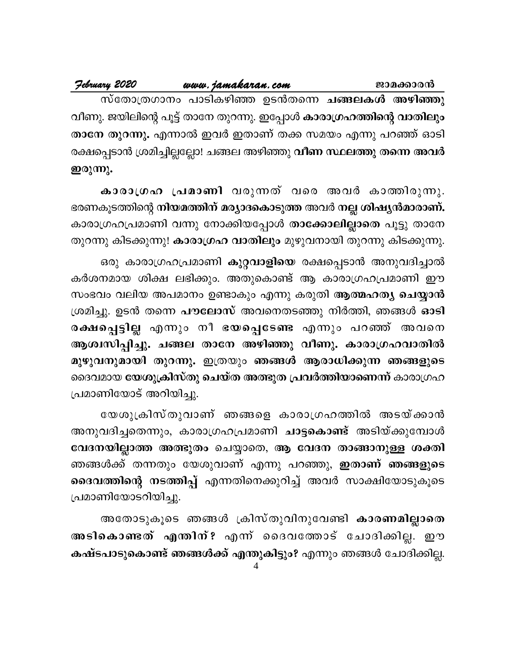| February 2020                                                        | www.jamakaran.com                                      |  | ജാമക്കാരൻ |
|----------------------------------------------------------------------|--------------------------------------------------------|--|-----------|
|                                                                      | സ്തോത്രഗാനം പാടികഴിഞ്ഞ ഉടൻതന്നെ <b>ചങ്ങലകൾ അഴിഞ്ഞു</b> |  |           |
| വീണു. ജയിലിന്റെ പൂട്ട് താനേ തുറന്നു. ഇപ്പോൾ കാരാഗ്രഹത്തിന്റെ വാതിലും |                                                        |  |           |
| താനേ തുറന്നു. എന്നാൽ ഇവർ ഇതാണ് തക്ക സമയം എന്നു പറഞ്ഞ് ഓടി            |                                                        |  |           |
| $2.9819 - 1000$                                                      |                                                        |  |           |

രക്ഷപ്പെടാന ശ്രമിച്ചില്ലല്ലോ! ചങ്ങല അഴിഞ്ഞു വിണ സ്ഥലത്തു തന്നെ അവര ഇരുന്നു.

കാരാഗ്രഹ പ്രമാണി വരുന്നത് വരെ അവർ കാത്തിരുന്നു. ഭരണകൂടത്തിന്റെ നിയമത്തിന് മര്യാദകൊടുത്ത അവർ നല്ല ശിഷ്യൻമാരാണ്. കാരാഗ്രഹപ്രമാണി വന്നു നോക്കിയപ്പോൾ താക്കോലില്ലാതെ പൂട്ടു താനേ തുറന്നു കിടക്കുന്നു! **കാരാഗ്രഹ വാതിലും** മുഴുവനായി തുറന്നു കിടക്കുന്നു.

ഒരു കാരാഗ്രഹപ്രമാണി **കുറ്റവാളിയെ** രക്ഷപ്പെടാൻ അനുവദിച്ചാൽ കർശനമായ ശിക്ഷ ലഭിക്കും. അതുകൊണ്ട് ആ കാരാഗ്രഹപ്രമാണി ഈ സംഭവം വലിയ അപമാനം ഉണ്ടാകും എന്നു കരുതി ആത്മഹത്യ ചെയ്യാൻ ശ്രമിച്ചു. ഉടൻ തന്നെ പൗലോസ് അവനെതടഞ്ഞു നിർത്തി, ഞങ്ങൾ ഓടി രക്ഷപ്പെട്ടില്ല എന്നും നീ ഭയപ്പെടേണ്ട എന്നും പറഞ്ഞ് അവനെ ആശ്വസിപ്പിച്ചു. ചങ്ങല താനേ അഴിഞ്ഞു വീണു. കാരാഗ്രഹവാതിൽ മുഴുവനുമായി തുറന്നു. ഇത്രയും ഞങ്ങൾ ആരാധിക്കുന്ന ഞങ്ങളുടെ ദൈവമായ യേശുക്രിസ്തു ചെയ്ത അത്ഭുത പ്രവർത്തിയാണെന്ന് കാരാഗ്രഹ പ്രമാണിയോട് അറിയിച്ചു.

യേശുക്രിസ്തുവാണ് ഞങ്ങളെ കാരാഗ്രഹത്തിൽ അടയ്ക്കാൻ അനുവദിച്ചതെന്നും, കാരാഗ്രഹപ്രമാണി **ചാട്ടകൊണ്ട്** അടിയ്ക്കുമ്പോൾ വേദനയില്ലാത്ത അത്ഭുതം ചെയ്യാതെ, ആ വേദന താങ്ങാനുള്ള ശക്തി ഞങ്ങൾക്ക് തന്നതും യേശുവാണ് എന്നു പറഞ്ഞു, **ഇതാണ് ഞങ്ങളുടെ** ദൈവത്തിന്റെ നടത്തിപ്പ് എന്നതിനെക്കുറിച്ച് അവർ സാക്ഷിയോടുകൂടെ പ്രമാണിയോടറിയിച്ചു.

അതോടുകൂടെ ഞങ്ങൾ ക്രിസ്തുവിനുവേണ്ടി കാരണമില്ലാതെ അടികൊണ്ടത് എന്തിന്? എന്ന ദൈവത്തോട് ചോദിക്കില്ല. ഈ കഷ്ടപാടുകൊണ്ട് ഞങ്ങൾക്ക് എന്തുകിട്ടും? എന്നും ഞങ്ങൾ ചോദിക്കില്ല.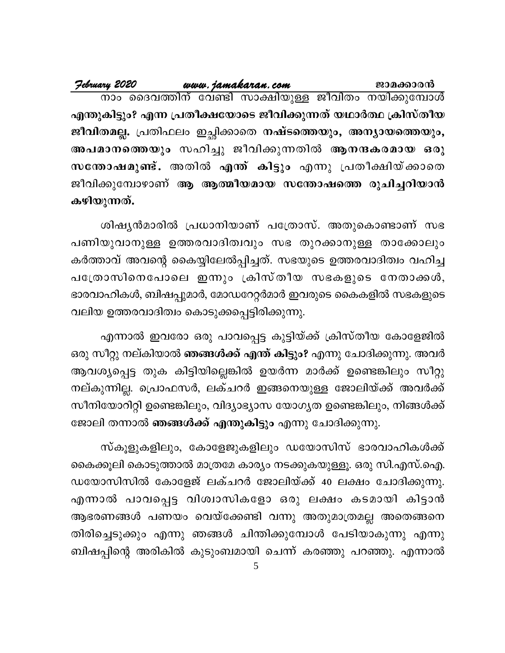എന്തുകിട്ടും? എന്ന പ്രതീക്ഷയോടെ ജീവിക്കുന്നത് യഥാർത്ഥ ക്രിസ്തീയ ജീവിതമല്ല. പ്രതിഫലം ഇച്ഛിക്കാതെ നഷ്ടത്തെയും, അന്യായത്തെയും, അപമാനത്തെയും സഹിച്ചു ജീവിക്കുന്നതിൽ ആനന്ദകരമായ ഒരു സന്തോഷമുണ്ട്. അതിൽ എന്ത് കിട്ടും എന്നു പ്രതീക്ഷിയ്ക്കാതെ ജീവിക്കുമ്പോഴാണ് ആ ആത്മീയമായ സന്തോഷത്തെ രൂചിച്ചറിയാൻ കഴിയുന്നത്.

ശിഷ്യൻമാരിൽ പ്രധാനിയാണ് പത്രോസ്. അതുകൊണ്ടാണ് സഭ പണിയുവാനുള്ള ഉത്തരവാദിത്വവും സഭ തുറക്കാനുള്ള താക്കോലും കർത്താവ് അവന്റെ കൈയ്യിലേൽപ്പിച്ചത്. സഭയുടെ ഉത്തരവാദിത്വം വഹിച്ച പത്രോസിനെപോലെ ഇന്നും ക്രിസ്തീയ സഭകളുടെ നേതാക്കൾ, ഭാരവാഹികൾ, ബിഷപ്പുമാർ, മോഡറേറ്റർമാർ ഇവരുടെ കൈകളിൽ സഭകളുടെ വലിയ ഉത്തരവാദിത്വം കൊടുക്കപ്പെട്ടിരിക്കുന്നു.

എന്നാൽ ഇവരോ ഒരു പാവപ്പെട്ട കുട്ടിയ്ക്ക് ക്രിസ്തീയ കോളേജിൽ ഒരു സീറ്റു നല്കിയാൽ <mark>ഞങ്ങൾക്ക് എന്ത് കിട്ടും?</mark> എന്നു ചോദിക്കുന്നു. അവർ ആവശ്യപ്പെട്ട തുക കിട്ടിയില്ലെങ്കിൽ ഉയർന്ന മാർക്ക് ഉണ്ടെങ്കിലും സീറ്റു നല്കുന്നില്ല. പ്രൊഫസർ, ലക്ചറർ ഇങ്ങനെയുള്ള ജോലിയ്ക്ക് അവർക്ക് സീനിയോറിറ്റി ഉണ്ടെങ്കിലും, വിദ്യാഭ്യാസ യോഗ്യത ഉണ്ടെങ്കിലും, നിങ്ങൾക്ക് ജോലി തന്നാൽ ഞങ്ങൾക്ക് എന്തുകിട്ടും എന്നു ചോദിക്കുന്നു.

സ്കൂളുകളിലും, കോളേജുകളിലും ഡയോസിസ് ഭാരവാഹികൾക്ക് കൈക്കൂലി കൊടുത്താൽ മാത്രമേ കാര്യം നടക്കുകയുള്ളൂ. ഒരു സി.എസ്.ഐ. ഡയോസിസിൽ കോളേജ് ലക്ചറർ ജോലിയ്ക്ക് 40 ലക്ഷം ചോദിക്കുന്നു. എന്നാൽ പാവപ്പെട്ട വിശ്വാസികളോ ഒരു ലക്ഷം കടമായി കിട്ടാൻ ആഭരണങ്ങൾ പണയം വെയ്ക്കേണ്ടി വന്നു അതുമാത്രമല്ല അതെങ്ങനെ തിരിച്ചെടുക്കും എന്നു ഞങ്ങൾ ചിന്തിക്കുമ്പോൾ പേടിയാകുന്നു എന്നു ബിഷപ്പിന്റെ അരികിൽ കുടുംബമായി ചെന്ന് കരഞ്ഞു പറഞ്ഞു. എന്നാൽ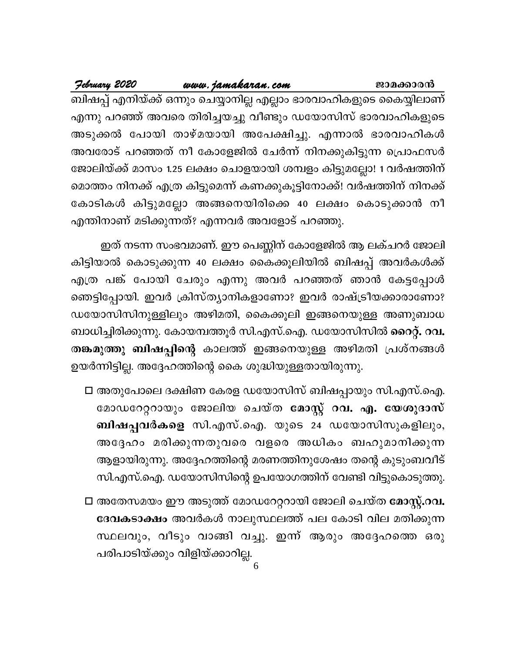<u>www.jamakaran.com</u>

February 2020

ബിഷപ്പ് എനിയ്ക്ക് ഒന്നും ചെയ്യാനില്ല എല്ലാം ഭാരവാഹികളുടെ കൈയ്യിലാണ് എന്നു പറഞ്ഞ് അവരെ തിരിച്ചയച്ചു വീണ്ടും ഡയോസിസ് ഭാരവാഹികളുടെ അടുക്കൽ പോയി താഴ്മയായി അപേക്ഷിച്ചു. എന്നാൽ ഭാരവാഹികൾ അവരോട് പറഞ്ഞത് നീ കോളേജിൽ ചേർന്ന് നിനക്കുകിട്ടുന്ന പ്രൊഫസർ ജോലിയ്ക്ക് മാസം 1.25 ലക്ഷം ചൊളയായി ശമ്പളം കിട്ടുമല്ലോ! 1 വർഷത്തിന് മൊത്തം നിനക്ക് എത്ര കിട്ടുമെന്ന് കണക്കുകൂട്ടിനോക്ക്! വർഷത്തിന് നിനക്ക് കോടികൾ കിട്ടുമല്ലോ അങ്ങനെയിരിക്കെ 40 ലക്ഷം കൊടുക്കാൻ നീ എന്തിനാണ് മടിക്കുന്നത്? എന്നവർ അവളോട് പറഞ്ഞു.

ഇത് നടന്ന സംഭവമാണ്. ഈ പെണ്ണിന് കോളേജിൽ ആ ലക്ചറർ ജോലി കിട്ടിയാൽ കൊടുക്കുന്ന 40 ലക്ഷം കൈക്കൂലിയിൽ ബിഷപ്പ് അവർകൾക്ക് എത്ര പങ്ക് പോയി ചേരും എന്നു അവർ പറഞ്ഞത് ഞാൻ കേട്ടപ്പോൾ ഞെട്ടിപ്പോയി. ഇവർ ക്രിസ്ത്യാനികളാണോ? ഇവർ രാഷ്ട്രീയക്കാരാണോ? ഡയോസിസിനുള്ളിലും അഴിമതി, കൈക്കൂലി ഇങ്ങനെയുള്ള അണുബാധ ബാധിച്ചിരിക്കുന്നു. കോയമ്പത്തൂർ സി.എസ്.ഐ. ഡയോസിസിൽ **റൈറ്റ്. റവ.** തങ്കമുത്തു ബിഷപ്പിന്റെ കാലത്ത് ഇങ്ങനെയുള്ള അഴിമതി പ്രശ്നങ്ങൾ ഉയർന്നിട്ടില്ല. അദ്ദേഹത്തിന്റെ കൈ ശുദ്ധിയുള്ളതായിരുന്നു.

- □ അതുപോലെ ദക്ഷിണ കേരള ഡയോസിസ് ബിഷപ്പായും സി.എസ്.ഐ. മോഡറേറ്ററായും ജോലിയ ചെയ്ത <mark>മോസ്റ്റ് റവ. എ. യേശുദാസ്</mark> ബിഷപ്പവർകളെ സി.എസ്.ഐ. യുടെ 24 ഡയോസിസുകളിലും, അദ്ദേഹം മരിക്കുന്നതുവരെ വളരെ അധികം ബഹുമാനിക്കുന്ന ആളായിരുന്നു. അദ്ദേഹത്തിന്റെ മരണത്തിനുശേഷം തന്റെ കുടുംബവീട് സി.എസ്.ഐ. ഡയോസിസിന്റെ ഉപയോഗത്തിന് വേണ്ടി വിട്ടുകൊടുത്തു.
- □ അതേസമയം ഈ അടുത്ത് മോഡറേറ്ററായി ജോലി ചെയ്ത മോസ്റ്റ്.റവ. ദേവകടാക്ഷം അവർകൾ നാലുസ്ഥലത്ത് പല കോടി വില മതിക്കുന്ന സ്ഥലവും, വീടും വാങ്ങി വച്ചു. ഇന്ന് ആരും അദ്ദേഹത്തെ ഒരു പരിപാടിയ്ക്കും വിളിയ്ക്കാറില്ല.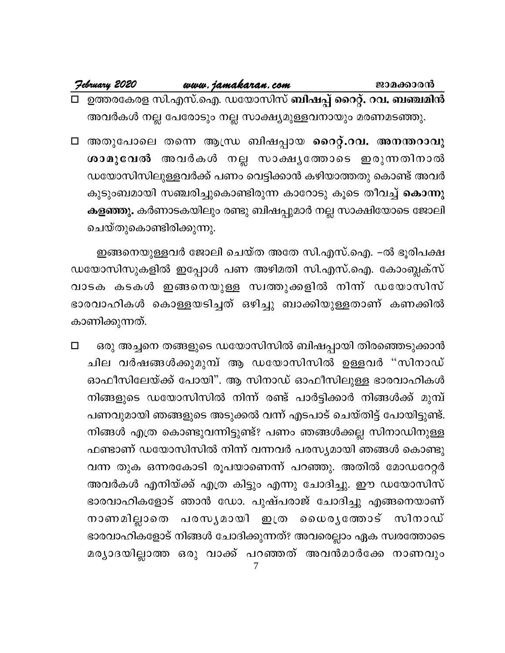| February 2020 | www.jamakaran.com                                     | ജാമക്കാരൻ                                                        |
|---------------|-------------------------------------------------------|------------------------------------------------------------------|
|               |                                                       | □ ഉത്തരകേരള സി.എസ്.ഐ. ഡയോസിസ് <b>ബിഷപ്പ് റൈറ്റ്. റവ. ബഞ്ചമിൻ</b> |
|               | അവർകൾ നല്ല പേരോടും നല്ല സാക്ഷ്യമുള്ളവനായും മരണമടഞ്ഞു. |                                                                  |

⊡ അതുപോലെ തന്നെ ആന്ധ്ര ബിഷപ്പായ റൈറ്റ്.റവ. അനന്തറാവു ശാമുവേൽ അവർകൾ നല്ല സാക്ഷ്യത്തോടെ ഇരുന്നതിനാൽ ഡയോസിസിലുള്ളവർക്ക് പണം വെട്ടിക്കാൻ കഴിയാത്തതു കൊണ്ട് അവർ കുടുംബമായി സഞ്ചരിച്ചുകൊണ്ടിരുന്ന കാറോടു കൂടെ തീവച്ച് കൊന്നു കളഞ്ഞു. കർണാടകയിലും രണ്ടു ബിഷപ്പുമാർ നല്ല സാക്ഷിയോടെ ജോലി ചെയ്തുകൊണ്ടിരിക്കുന്നു.

ഇങ്ങനെയുള്ളവർ ജോലി ചെയ്ത അതേ സി.എസ്.ഐ. –ൽ ഭൂരിപക്ഷ ഡയോസിസുകളിൽ ഇപ്പോൾ പണ അഴിമതി സി.എസ്.ഐ. കോംബ്ലക്സ് വാടക കടകൾ ഇങ്ങനെയുള്ള സ്വത്തുക്കളിൽ നിന്ന് ഡയോസിസ് ഭാരവാഹികൾ കൊള്ളയടിച്ചത് ഒഴിച്ചു ബാക്കിയുള്ളതാണ് കണക്കിൽ കാണിക്കുന്നത്.

ഒരു അച്ചനെ തങ്ങളുടെ ഡയോസിസിൽ ബിഷപ്പായി തിരഞ്ഞെടുക്കാൻ  $\Box$ ചില വർഷങ്ങൾക്കുമുമ്പ് ആ ഡയോസിസിൽ ഉള്ളവർ "സിനാഡ് ഓഫീസിലേയ്ക്ക് പോയി". ആ സിനാഡ് ഓഫീസിലുള്ള ഭാരവാഹികൾ നിങ്ങളുടെ ഡയോസിസിൽ നിന്ന് രണ്ട് പാർട്ടിക്കാർ നിങ്ങൾക്ക് മുമ്പ് പണവുമായി ഞങ്ങളുടെ അടുക്കൽ വന്ന് എടപാട് ചെയ്തിട്ട് പോയിട്ടുണ്ട്. നിങ്ങൾ എത്ര കൊണ്ടുവന്നിട്ടുണ്ട്? പണം ഞങ്ങൾക്കല്ല സിനാഡിനുള്ള ഫണ്ടാണ് ഡയോസിസിൽ നിന്ന് വന്നവർ പരസ്യമായി ഞങ്ങൾ കൊണ്ടു വന്ന തുക ഒന്നരകോടി രൂപയാണെന്ന് പറഞ്ഞു. അതിൽ മോഡറേറ്റർ അവർകൾ എനിയ്ക്ക് എത്ര കിട്ടും എന്നു ചോദിച്ചു. ഈ ഡയോസിസ് ഭാരവാഹികളോട് ഞാൻ ഡോ. പുഷ്പരാജ് ചോദിച്ചു എങ്ങനെയാണ് നാണമില്ലാതെ പരസൃമായി ഇത്ര ധൈരൃത്തോട് സിനാഡ് ഭാരവാഹികളോട് നിങ്ങൾ ചോദിക്കുന്നത്? അവരെല്ലാം ഏക സ്വരത്തോടെ മര്യാദയില്ലാത്ത ഒരു വാക്ക് പറഞ്ഞത് അവൻമാർക്കേ നാണവും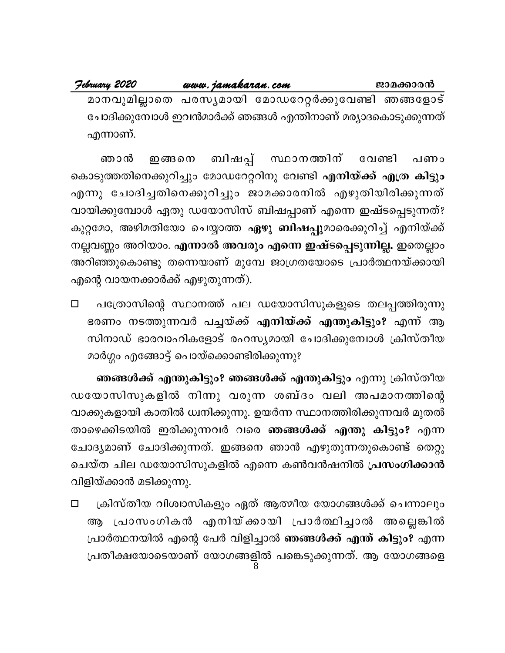#### <u>www.jamakaran.com</u>

February 2020

മാനവുമില്ലാതെ പരസ്യമായി മോഡറേറ്റർക്കുവേണ്ടി ഞങ്ങളോട് ചോദിക്കുമ്പോൾ ഇവൻമാർക്ക് ഞങ്ങൾ എന്തിനാണ് മര്യാദകൊടുക്കുന്നത് എന്നാണ്.

ഞാൻ ഇങ്ങനെ ബിഷപ്പ് സ്ഥാനത്തിന് വേണ്ടി പണം കൊടുത്തതിനെക്കുറിച്ചും മോഡറേറ്ററിനു വേണ്ടി **എനിയ്ക്ക് എത്ര കിട്ടും** എന്നു ചോദിച്ചതിനെക്കുറിച്ചും ജാമക്കാരനിൽ എഴുതിയിരിക്കുന്നത് വായിക്കുമ്പോൾ ഏതു ഡയോസിസ് ബിഷപ്പാണ് എന്നെ ഇഷ്ടപ്പെടുന്നത്? കുറ്റമോ, അഴിമതിയോ ചെയ്യാത്ത <mark>ഏഴു ബിഷപ്പു</mark>മാരെക്കുറിച്ച് എനിയ്ക്ക് നല്ലവണ്ണം അറിയാം. <mark>എന്നാൽ അവരും എന്നെ ഇഷ്ടപ്പെടുന്നില്ല.</mark> ഇതെല്ലാം അറിഞ്ഞുകൊണ്ടു തന്നെയാണ് മുമ്പേ ജാഗ്രതയോടെ പ്രാർത്ഥനയ്ക്കായി എന്റെ വായനക്കാർക്ക് എഴുതുന്നത്).

പത്രോസിന്റെ സ്ഥാനത്ത് പല ഡയോസിസുകളുടെ തലപ്പത്തിരുന്നു  $\Box$ ഭരണം നടത്തുന്നവർ പച്ചയ്ക്ക് എനിയ്ക്ക് എന്തുകിട്ടും? എന്ന് ആ സിനാഡ് ഭാരവാഹികളോട് രഹസ്യമായി ചോദിക്കുമ്പോൾ ക്രിസ്തീയ മാർഗ്ഗം എങ്ങോട്ട് പൊയ്ക്കൊണ്ടിരിക്കുന്നു?

ഞങ്ങൾക്ക് എന്തുകിട്ടും? ഞങ്ങൾക്ക് എന്തുകിട്ടും എന്നു ക്രിസ്തീയ ഡയോസിസുകളിൽ നിന്നു വരുന്ന ശബ്ദം വലി അപമാനത്തിന്റെ വാക്കുകളായി കാതിൽ ധ്വനിക്കുന്നു. ഉയർന്ന സ്ഥാനത്തിരിക്കുന്നവർ മുതൽ താഴെക്കിടയിൽ ഇരിക്കുന്നവർ വരെ **ഞങ്ങൾക്ക് എന്തു കിട്ടും?** എന്ന ചോദ്യമാണ് ചോദിക്കുന്നത്. ഇങ്ങനെ ഞാൻ എഴുതുന്നതുകൊണ്ട് തെറ്റു ചെയ്ത ചില ഡയോസിസുകളിൽ എന്നെ കൺവൻഷനിൽ പ്രസംഗിക്കാൻ വിളിയ്ക്കാൻ മടിക്കുന്നു.

ക്രിസ്തീയ വിശ്വാസികളും ഏത് ആത്മീയ യോഗങ്ങൾക്ക് ചെന്നാലും  $\Box$ ആ പ്രാസംഗികൻ എനിയ്ക്കായി പ്രാർത്ഥിച്ചാൽ അല്ലെങ്കിൽ പ്രാർത്ഥനയിൽ എന്റെ പേർ വിളിച്ചാൽ ഞങ്ങൾക്ക് എന്ത് കിട്ടും? എന്ന പ്രതീക്ഷയോടെയാണ് യോഗങ്ങളിൽ പങ്കെടുക്കുന്നത്. ആ യോഗങ്ങളെ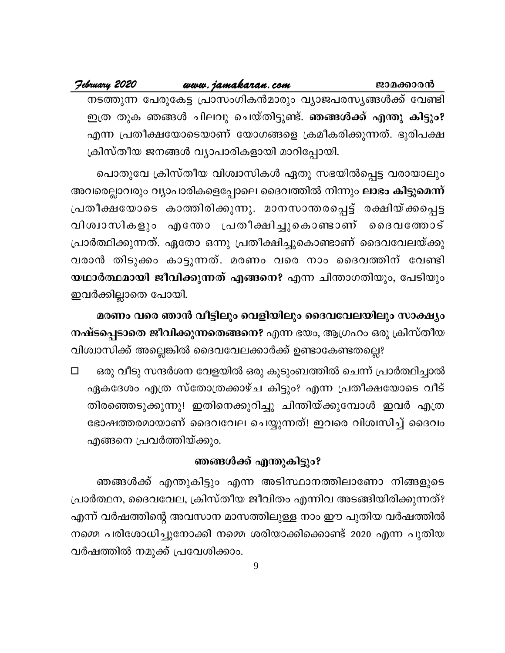#### <u>www.jamakaran.com</u>

#### February 2020

നടത്തുന്ന പേരുകേട്ട പ്രാസംഗികൻമാരും വ്യാജപരസ്യങ്ങൾക്ക് വേണ്ടി ഇത്ര തുക ഞങ്ങൾ ചിലവു ചെയ്തിട്ടുണ്ട്. **ഞങ്ങൾക്ക് എന്തു കിട്ടും?** എന്ന പ്രതീക്ഷയോടെയാണ് യോഗങ്ങളെ ക്രമീകരിക്കുന്നത്. ഭൂരിപക്ഷ ക്രിസ്തീയ ജനങ്ങൾ വ്യാപാരികളായി മാറിപ്പോയി.

പൊതുവേ ക്രിസ്തീയ വിശ്വാസികൾ ഏതു സഭയിൽപ്പെട്ട വരായാലും അവരെല്ലാവരും വ്യാപാരികളെപ്പോലെ ദൈവത്തിൽ നിന്നും <mark>ലാഭം കിട്ടുമെന്ന്</mark> പ്രതീക്ഷയോടെ കാത്തിരിക്കുന്നു. മാനസാന്തരപ്പെട്ട് രക്ഷിയ്ക്കപ്പെട്ട വിശ്വാസികളും എതോ പ്രതീക്ഷിച്ചുകൊണ്ടാണ് ദൈവത്തോട് പ്രാർത്ഥിക്കുന്നത്. ഏതോ ഒന്നു പ്രതീക്ഷിച്ചുകൊണ്ടാണ് ദൈവവേലയ്ക്കു വരാൻ തിടുക്കം കാട്ടുന്നത്. മരണം വരെ നാം ദൈവത്തിന് വേണ്ടി യഥാർത്ഥമായി ജീവിക്കുന്നത് എങ്ങനെ? എന്ന ചിന്താഗതിയും, പേടിയും ഇവർക്കില്ലാതെ പോയി.

മരണം വരെ ഞാൻ വീട്ടിലും വെളിയിലും ദൈവവേലയിലും സാക്ഷ്യം നഷ്ടപ്പെടാതെ ജീവിക്കുന്നതെങ്ങനെ? എന്ന ഭയം, ആഗ്രഹം ഒരു ക്രിസ്തീയ വിശ്വാസിക്ക് അല്ലെങ്കിൽ ദൈവവേലക്കാർക്ക് ഉണ്ടാകേണ്ടതല്ലെ?

ഒരു വീടു സന്ദർശന വേളയിൽ ഒരു കുടുംബത്തിൽ ചെന്ന് പ്രാർത്ഥിച്ചാൽ  $\Box$ ഏകദേശം എത്ര സ്തോത്രക്കാഴ്ച കിട്ടും? എന്ന പ്രതീക്ഷയോടെ വീട് തിരഞ്ഞെടുക്കുന്നു! ഇതിനെക്കുറിച്ചു ചിന്തിയ്ക്കുമ്പോൾ ഇവർ എത്ര ഭോഷത്തരമായാണ് ദൈവവേല ചെയ്യുന്നത്! ഇവരെ വിശ്വസിച്ച് ദൈവം എങ്ങനെ പ്രവർത്തിയ്ക്കും.

#### ഞങ്ങൾക്ക് എന്തുകിട്ടും?

ഞങ്ങൾക്ക് എന്തുകിട്ടും എന്ന അടിസ്ഥാനത്തിലാണോ നിങ്ങളുടെ പ്രാർത്ഥന, ദൈവവേല, ക്രിസ്തീയ ജീവിതം എന്നിവ അടങ്ങിയിരിക്കുന്നത്? എന്ന് വർഷത്തിന്റെ അവസാന മാസത്തിലുള്ള നാം ഈ പുതിയ വർഷത്തിൽ നമ്മെ പരിശോധിച്ചുനോക്കി നമ്മെ ശരിയാക്കിക്കൊണ്ട് 2020 എന്ന പുതിയ വർഷത്തിൽ നമുക്ക് പ്രവേശിക്കാം.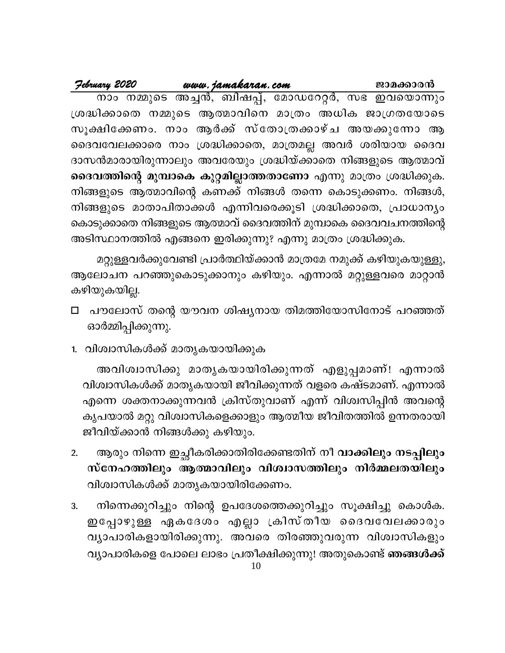|                                                                    |                                                     |  | ജാമക്കാരൻ |  |
|--------------------------------------------------------------------|-----------------------------------------------------|--|-----------|--|
|                                                                    | നാം നമ്മുടെ അച്ചൻ, ബിഷപ്പ്, മോഡറേറ്റർ, സഭ ഇവയൊന്നും |  |           |  |
| ശ്രദ്ധിക്കാതെ നമ്മുടെ ആത്മാവിനെ മാത്രം അധിക ജാഗ്രതയോടെ             |                                                     |  |           |  |
| സൂക്ഷിക്കേണം. നാം ആർക്ക് സ്തോത്രക്കാഴ്ച അയക്കുന്നോ ആ               |                                                     |  |           |  |
| ദൈവവേലക്കാരെ നാം ശ്രദ്ധിക്കാതെ, മാത്രമല്ല അവർ ശരിയായ ദൈവ           |                                                     |  |           |  |
| ദാസൻമാരായിരുന്നാലും അവരേയും ശ്രദ്ധിയ്ക്കാതെ നിങ്ങളുടെ ആത്മാവ്      |                                                     |  |           |  |
| ദൈവത്തിന്റെ മുമ്പാകെ കുറ്റമില്ലാത്തതാണോ എന്നു മാത്രം ശ്രദ്ധിക്കുക. |                                                     |  |           |  |
| നിങ്ങളുടെ ആത്മാവിന്റെ കണക്ക് നിങ്ങൾ തന്നെ കൊടുക്കണം. നിങ്ങൾ,       |                                                     |  |           |  |
| നിങ്ങളുടെ മാതാപിതാക്കൾ എന്നിവരെക്കൂടി ശ്രദ്ധിക്കാതെ, പ്രാധാന്യം    |                                                     |  |           |  |
| കൊടുക്കാതെ നിങ്ങളുടെ ആത്മാവ് ദൈവത്തിന് മുമ്പാകെ ദൈവവചനത്തിന്റെ     |                                                     |  |           |  |
| അടിസ്ഥാനത്തിൽ എങ്ങനെ ഇരിക്കുന്നു? എന്നു മാത്രം ശ്രദ്ധിക്കുക.       |                                                     |  |           |  |
|                                                                    |                                                     |  |           |  |

മറ്റുള്ളവർക്കുവേണ്ടി പ്രാർത്ഥിയ്ക്കാൻ മാത്രമേ നമുക്ക് കഴിയുകയുള്ളു, ആലോചന പറഞ്ഞുകൊടുക്കാനും കഴിയും. എന്നാൽ മറ്റുള്ളവരെ മാറ്റാൻ കഴിയുകയില്ല.

- പൗലോസ് തന്റെ യൗവന ശിഷ്യനായ തിമത്തിയോസിനോട് പറഞ്ഞത് □ ഓർമ്മിപ്പിക്കുന്നു.
- 1. വിശ്വാസികൾക്ക് മാതൃകയായിക്കുക

അവിശ്വാസിക്കു മാതൃകയായിരിക്കുന്നത് എളുപ്പമാണ്! എന്നാൽ വിശ്വാസികൾക്ക് മാതൃകയായി ജീവിക്കുന്നത് വളരെ കഷ്ടമാണ്. എന്നാൽ എന്നെ ശക്തനാക്കുന്നവൻ ക്രിസ്തുവാണ് എന്ന് വിശ്വസിപ്പിൻ അവന്റെ കൃപയാൽ മറ്റു വിശ്വാസികളെക്കാളും ആത്മീയ ജീവിതത്തിൽ ഉന്നതരായി ജീവിയ്ക്കാൻ നിങ്ങൾക്കു കഴിയും.

- ആരും നിന്നെ ഇച്ഛീകരിക്കാതിരിക്കേണ്ടതിന് നീ **വാക്കിലും നടപ്പിലും**  $2.$ സ്നേഹത്തിലും ആത്മാവിലും വിശ്വാസത്തിലും നിർമ്മലതയിലും വിശ്വാസികൾക്ക് മാതൃകയായിരിക്കേണം.
- നിന്നെക്കുറിച്ചും നിന്റെ ഉപദേശത്തെക്കുറിച്ചും സൂക്ഷിച്ചു കൊൾക. 3. ഇപ്പോഴുള്ള ഏകദേശം എല്ലാ ക്രിസ്തീയ ദൈവവേലക്കാരും വ്യാപാരികളായിരിക്കുന്നു. അവരെ തിരഞ്ഞുവരുന്ന വിശ്വാസികളും വ്യാപാരികളെ പോലെ ലാഭം പ്രതീക്ഷിക്കുന്നു! അതുകൊണ്ട് **ഞങ്ങൾക്ക്**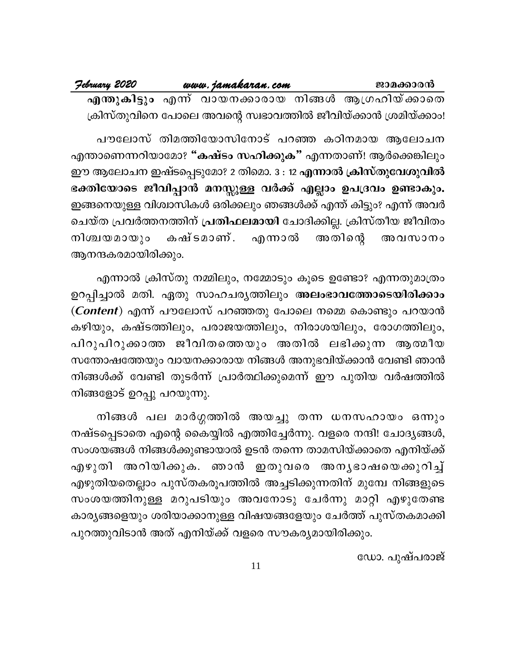February 2020 www.jamakaran.com ജാമക്കാരൻ എന്തുകിട്ടും എന്ന് വായനക്കാരായ നിങ്ങൾ ആഗ്രഹിയ്ക്കാതെ ക്രിസ്തുവിനെ പോലെ അവന്റെ സ്വഭാവത്തിൽ ജീവിയ്ക്കാൻ ശ്രമിയ്ക്കാം!

പൗലോസ് തിമത്തിയോസിനോട് പറഞ്ഞ കഠിനമായ ആലോചന എന്താണെന്നറിയാമോ? "കഷ്ടം സഹിക്കുക" എന്നതാണ്! ആർക്കെങ്കിലും ഈ ആലോചന ഇഷ്ടപ്പെടുമോ? 2 തിമൊ. 3 : 12 എന്നാൽ ക്രിസ്തുവേശുവിൽ ഭക്തിയോടെ ജീവിപ്പാൻ മനസ്സുള്ള വർക്ക് എല്ലാം ഉപദ്രവം ഉണ്ടാകും. ഇങ്ങനെയുള്ള വിശ്വാസികൾ ഒരിക്കലും ഞങ്ങൾക്ക് എന്ത് കിട്ടും? എന്ന് അവർ ചെയ്ത പ്രവർത്തനത്തിന് **പ്രതിഫലമായി** ചോദിക്കില്ല. ക്രിസ്തീയ ജീവിതം കഷ്ടമാണ്. എന്നാൽ നിശ്ചയമായും അതിന്റെ അവസാനം ആനന്ദകരമായിരിക്കും.

എന്നാൽ ക്രിസ്തു നമ്മിലും, നമ്മോടും കൂടെ ഉണ്ടോ? എന്നതുമാത്രം ഉറപ്പിച്ചാൽ മതി. ഏതു സാഹചര്യത്തിലും അലംഭാവത്തോടെയിരിക്കാം (Content) എന്ന് പൗലോസ് പറഞ്ഞതു പോലെ നമ്മെ കൊണ്ടും പറയാൻ കഴിയും, കഷ്ടത്തിലും, പരാജയത്തിലും, നിരാശയിലും, രോഗത്തിലും, പിറുപിറുക്കാത്ത ജീവിതത്തെയും അതിൽ ലഭിക്കുന്ന ആത്മീയ സന്തോഷത്തേയും വായനക്കാരായ നിങ്ങൾ അനുഭവിയ്ക്കാൻ വേണ്ടി ഞാൻ നിങ്ങൾക്ക് വേണ്ടി തുടർന്ന് പ്രാർത്ഥിക്കുമെന്ന് ഈ പുതിയ വർഷത്തിൽ നിങ്ങളോട് ഉറപ്പു പറയുന്നു.

നിങ്ങൾ പല മാർഗ്ഗത്തിൽ അയച്ചു തന്ന ധനസഹായം ഒന്നും നഷ്ടപ്പെടാതെ എന്റെ കൈയ്യിൽ എത്തിച്ചേർന്നു. വളരെ നന്ദി! ചോദ്യങ്ങൾ, സംശയങ്ങൾ നിങ്ങൾക്കുണ്ടായാൽ ഉടൻ തന്നെ താമസിയ്ക്കാതെ എനിയ്ക്ക് എഴുതി അറിയിക്കുക. ഞാൻ ഇതുവരെ അനൃഭാഷയെക്കുറിച്ച് എഴുതിയതെല്ലാം പുസ്തകരൂപത്തിൽ അച്ചടിക്കുന്നതിന് മുമ്പേ നിങ്ങളുടെ സംശയത്തിനുള്ള മറുപടിയും അവനോടു ചേർന്നു മാറ്റി എഴുതേണ്ട കാര്യങ്ങളെയും ശരിയാക്കാനുള്ള വിഷയങ്ങളേയും ചേർത്ത് പുസ്തകമാക്കി പുറത്തുവിടാൻ അത് എനിയ്ക്ക് വളരെ സൗകര്യമായിരിക്കും.

ഡോ. പുഷ്പരാജ്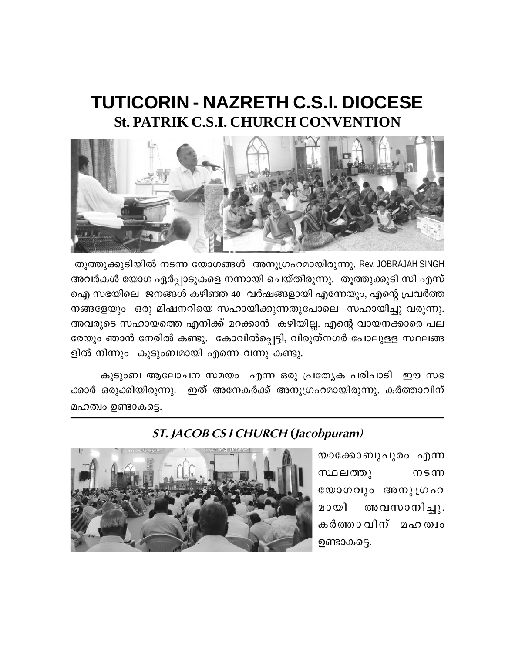### **TUTICORIN - NAZRETH C.S.I. DIOCESE St. PATRIK C.S.I. CHURCH CONVENTION**



തൂത്തുക്കുടിയിൽ നടന്ന യോഗങ്ങൾ അനുഗ്രഹമായിരുന്നു. Rev. JOBRAJAH SINGH അവർകൾ യോഗ ഏർപ്പാടുകളെ നന്നായി ചെയ്തിരുന്നു. തൂത്തുക്കുടി സി എസ് ഐ സഭയിലെ ജനങ്ങൾ കഴിഞ്ഞ 40 വർഷങ്ങളായി എന്നേയും, എന്റെ പ്രവർത്ത നങ്ങളേയും ഒരു മിഷനറിയെ സഹായിക്കുന്നതുപോലെ സഹായിച്ചു വരുന്നു. അവരുടെ സഹായത്തെ എനിക്ക് മറക്കാൻ കഴിയില്ല. എന്റെ വായനക്കാരെ പല രേയും ഞാൻ നേരിൽ കണ്ടു. കോവിൽപ്പെട്ടി, വിരുത്നഗർ പോലുളള സ്ഥലങ്ങ ളിൽ നിന്നും കുടുംബമായി എന്നെ വന്നു കണ്ടു.

കുടുംബ ആലോചന സമയം എന്ന ഒരു പ്രത്യേക പരിപാടി ഈ സഭ ക്കാർ ഒരുക്കിയിരുന്നു. ഇത് അനേകർക്ക് അനുഗ്രഹമായിരുന്നു. കർത്താവിന് മഹത്വം ഉണ്ടാകട്ടെ.



#### **ST. JACOB CS I CHURCH (Jacobpuram)**

യാക്കോബുപുരം എന്ന സ്ഥലത്തു  $m$ s m യോഗവും അനുഗ്രഹ അവസാനിച്ചു. മായി കർത്താവിന് മഹത്വം ഉണ്ടാകട്ടെ.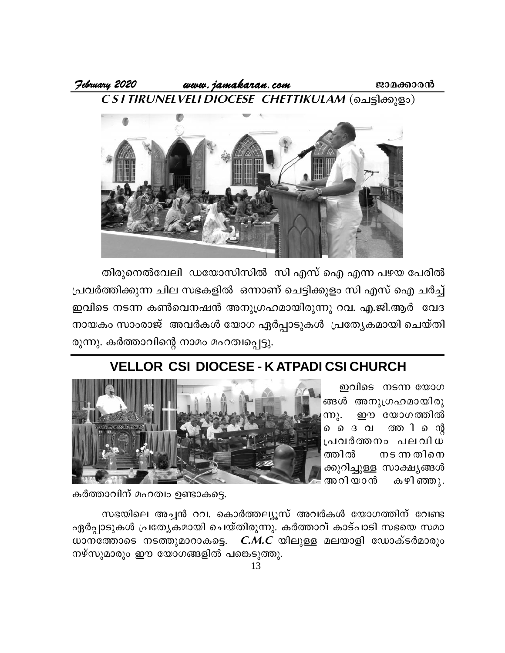



തിരുനെൽവേലി ഡയോസിസിൽ സി എസ് ഐ എന്ന പഴയ പേരിൽ പ്രവർത്തിക്കുന്ന ചില സഭകളിൽ ഒന്നാണ് ചെട്ടിക്കുളം സി എസ് ഐ ചർച്ച് ഇവിടെ നടന്ന കൺവെനഷൻ അനുഗ്രഹമായിരുന്നു റവ. എ.ജി.ആർ വേദ നായകം സാംരാജ് അവർകൾ യോഗ ഏർപ്പാടുകൾ പ്രത്യേകമായി ചെയ്തി രുന്നു. കർത്താവിന്റെ നാമം മഹത്വപ്പെട്ടു.

### **VELLOR CSI DIOCESE - K ATPADI CSI CHURCH**

ഇവിടെ നടന്ന യോഗ ങ്ങൾ അനുഗ്രഹമായിരു ഈ യോഗത്തിൽ (m). ത്തറി െന്റ ൈ െ ദവ പ്രവർത്തനം പലവിധ ത്തിൽ നടന്ന തിനെ ക്കുറിച്ചുള്ള സാക്ഷ്യങ്ങൾ അറിയാൻ കഴിഞ്ഞു.



കർത്താവിന് മഹത്വം ഉണ്ടാകട്ടെ.

സഭയിലെ അച്ചൻ റവ. കൊർത്തല്യൂസ് അവർകൾ യോഗത്തിന് വേണ്ട ഏർപ്പാടുകൾ പ്രത്യേകമായി ചെയ്തിരുന്നു. കർത്താവ് കാട്പാടി സഭയെ സമാ ധാനത്തോടെ നടത്തുമാറാകട്ടെ.  $C.M.C$  യിലുള്ള മലയാളി ഡോക്ടർമാരും നഴ്സുമാരും ഈ യോഗങ്ങളിൽ പങ്കെടുത്തു.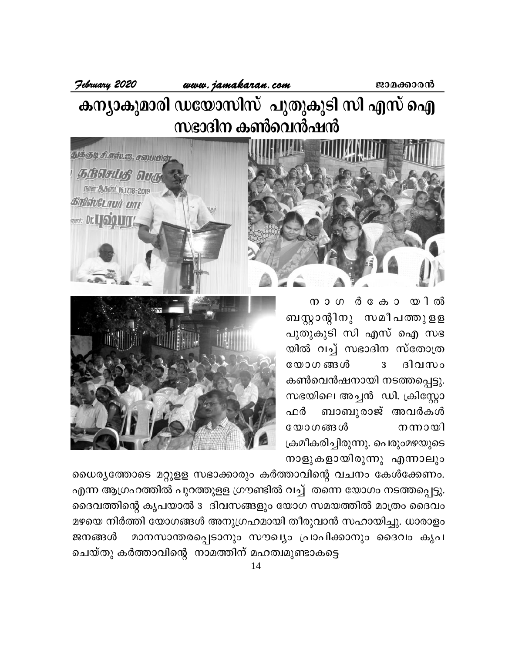#### www.jamakaran.com

February 2020

துக்குடி சி.எஸ்.ஜ. சமையில்

**GÉOGLIS DUG** நாள்: ஆகஸ்ட் 16,17,18 - 2019

**BRIGIVELTUIT UTT** *<u><b>Start:* Dr. LIGQUIT!</u>

കന്യാകുമാരി ഡയോസിസ് പുതുകൂടി സി എസ് ഐ സഭാദിന കൺവെൻഷൻ



 $\pi$  o  $\sigma$   $\alpha$   $\alpha$   $\alpha$   $\alpha$   $\alpha$   $\alpha$   $\beta$ ബസ്റ്റാന്റിനു സമീപത്തുളള പുതുകൂടി സി എസ് ഐ സഭ യിൽ വച്ച് സഭാദിന സ്തോത്ര യോഗങ്ങൾ  $\overline{3}$ ദിവസം കൺവെൻഷനായി നടത്തപ്പെട്ടു. സഭയിലെ അച്ചൻ ഡി. ക്രിസ്റ്റോ ബാബുരാജ് അവർകൾ ഫർ യോഗങ്ങൾ നന്നായി ക്രമീകരിച്ചിരുന്നു. പെരുംമഴയുടെ നാളുകളായിരുന്നു എന്നാലും



ധൈര്യത്തോടെ മറ്റുളള സഭാക്കാരും കർത്താവിന്റെ വചനം കേൾക്കേണം. എന്ന ആഗ്രഹത്തിൽ പുറത്തുളള ഗ്രൗണ്ടിൽ വച്ച് തന്നെ യോഗം നടത്തപ്പെട്ടു. ദൈവത്തിന്റെ കൃപയാൽ 3 ദിവസങ്ങളും യോഗ സമയത്തിൽ മാത്രം ദൈവം മഴയെ നിർത്തി യോഗങ്ങൾ അനുഗ്രഹമായി തീരുവാൻ സഹായിച്ചു. ധാരാളം മാനസാന്തരപ്പെടാനും സൗഖ്യം പ്രാപിക്കാനും ദൈവം കൃപ ജനങ്ങൾ ചെയ്തു കർത്താവിന്റെ നാമത്തിന് മഹത്വമുണ്ടാകട്ടെ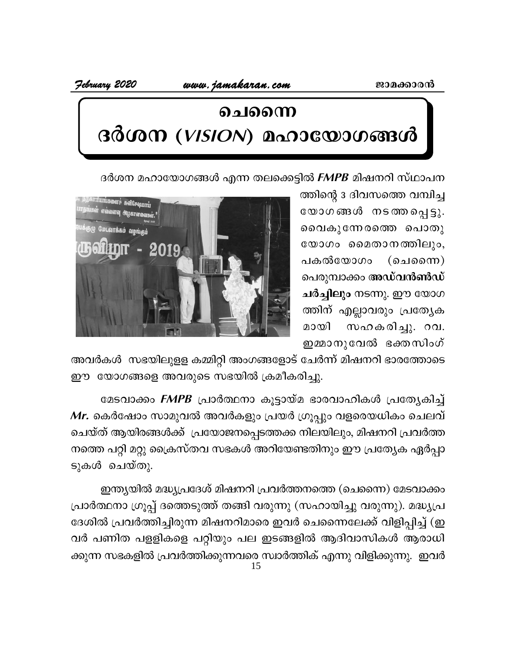www.jamakaran.com

February 2020

# ചൈന്നെ ദർശന  $(VISION)$  മഹായോഗങ്ങൾ

ദർശന മഹായോഗങ്ങൾ എന്ന തലക്കെട്ടിൽ *FMPB* മിഷനറി സ്ഥാപന

ത്തിന്റെ 3 ദിവസത്തെ വമ്പിച്ച യോഗങ്ങൾ നടത്തപ്പെട്ടു. വൈകുന്നേരത്തെ പൊതു യോഗം മൈതാനത്തിലും, പകൽയോഗം  $($ ചെന്നൈ $)$ പെരുമ്പാക്കം അഡ്**വൻൺഡ്** ചർച്ചിലും നടന്നു. ഈ യോഗ ത്തിന് എല്ലാവരും പ്രത്യേക സഹകരിച്ചു. റവ. മായി ഇമ്മാനുവേൽ ഭക്തസിംഗ്



അവർകൾ സഭയിലുളള കമ്മിറ്റി അംഗങ്ങളോട് ചേർന്ന് മിഷനറി ഭാരത്തോടെ ഈ യോഗങ്ങളെ അവരുടെ സഭയിൽ ക്രമീകരിച്ചു.

മേടവാക്കം *FMPB* പ്രാർത്ഥനാ കൂട്ടായ്മ ഭാരവാഹികൾ പ്രത്യേകിച്ച്  $\emph{\textbf{Mr.}}$  കെർഷോം സാമുവൽ അവർകളും പ്രയർ ഗ്രൂപ്പും വളരെയധികം ചെലവ് ചെയ്ത് ആയിരങ്ങൾക്ക് പ്രയോജനപ്പെടത്തക്ക നിലയിലും, മിഷനറി പ്രവർത്ത നത്തെ പറ്റി മറ്റു ക്രൈസ്തവ സഭകൾ അറിയേണ്ടതിനും ഈ പ്രത്യേക ഏർപ്പാ ടുകൾ ചെയ്തു.

ഇന്ത്യയിൽ മദ്ധ്യപ്രദേശ് മിഷനറി പ്രവർത്തനത്തെ (ചെന്നൈ) മേടവാക്കം പ്രാർത്ഥനാ ഗ്രൂപ്പ് ദത്തെടുത്ത് തങ്ങി വരുന്നു (സഹായിച്ചു വരുന്നു). മദ്ധ്യപ്ര ദേശിൽ പ്രവർത്തിച്ചിരുന്ന മിഷനറിമാരെ ഇവർ ചെന്നൈലേക്ക് വിളിപ്പിച്ച് (ഇ വർ പണിത പളളികളെ പറ്റിയും പല ഇടങ്ങളിൽ ആദിവാസികൾ ആരാധി ക്കുന്ന സഭകളിൽ പ്രവർത്തിക്കുന്നവരെ സ്വാർത്തിക് എന്നു വിളിക്കുന്നു. ഇവർ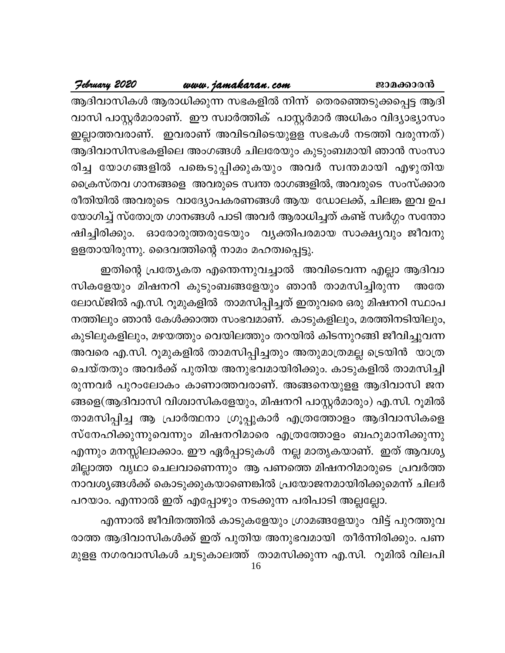#### <u>www.jamakaran.com</u>

February 2020

ആദിവാസികൾ ആരാധിക്കുന്ന സഭകളിൽ നിന്ന് തെരഞ്ഞെടുക്കപ്പെട്ട ആദി വാസി പാസ്റ്റർമാരാണ്. ഈ സ്വാർത്തിക് പാസ്റ്റർമാർ അധികം വിദ്യാഭ്യാസം ഇല്ലാത്തവരാണ്. ഇവരാണ് അവിടവിടെയുളള സഭകൾ നടത്തി വരുന്നത്) ആദിവാസിസഭകളിലെ അംഗങ്ങൾ ചിലരേയും കുടുംബമായി ഞാൻ സംസാ രിച്ച യോഗങ്ങളിൽ പങ്കെടുപ്പിക്കുകയും അവർ സ്വന്തമായി എഴുതിയ ക്രൈസ്തവ ഗാനങ്ങളെ അവരുടെ സ്വന്ത രാഗങ്ങളിൽ, അവരുടെ സംസ്ക്കാര രീതിയിൽ അവരുടെ വാദ്യോപകരണങ്ങൾ ആയ ഡോലക്ക്, ചിലങ്ക ഇവ ഉപ യോഗിച്ച് സ്തോത്ര ഗാനങ്ങൾ പാടി അവർ ആരാധിച്ചത് കണ്ട് സ്വർഗ്ഗം സന്തോ ഷിച്ചിരിക്കും. ഓരോരുത്തരുടേയും വൃക്തിപരമായ സാക്ഷ്യവും ജീവനു ളളതായിരുന്നു. ദൈവത്തിന്റെ നാമം മഹത്വപ്പെട്ടു.

ഇതിന്റെ പ്രത്യേകത എന്തെന്നുവച്ചാൽ അവിടെവന്ന എല്ലാ ആദിവാ സികളേയും മിഷനറി കുടുംബങ്ങളേയും ഞാൻ താമസിച്ചിരുന്ന അതേ ലോഡ്ജിൽ എ.സി. റൂമുകളിൽ താമസിപ്പിച്ചത് ഇതുവരെ ഒരു മിഷനറി സ്ഥാപ നത്തിലും ഞാൻ കേൾക്കാത്ത സംഭവമാണ്. കാടുകളിലും, മരത്തിനടിയിലും, കുടിലുകളിലും, മഴയത്തും വെയിലത്തും തറയിൽ കിടന്നുറങ്ങി ജീവിച്ചുവന്ന അവരെ എ.സി. റൂമുകളിൽ താമസിപ്പിച്ചതും അതുമാത്രമല്ല ട്രെയിൻ യാത്ര ചെയ്തതും അവർക്ക് പുതിയ അനുഭവമായിരിക്കും. കാടുകളിൽ താമസിച്ചി രുന്നവർ പുറംലോകം കാണാത്തവരാണ്. അങ്ങനെയുളള ആദിവാസി ജന ങ്ങളെ(ആദിവാസി വിശ്വാസികളേയും, മിഷനറി പാസ്റ്റർമാരും) എ.സി. റൂമിൽ താമസിപ്പിച്ച ആ പ്രാർത്ഥനാ ഗ്രൂപ്പുകാർ എത്രത്തോളം ആദിവാസികളെ സ്നേഹിക്കുന്നുവെന്നും മിഷനറിമാരെ എത്രത്തോളം ബഹുമാനിക്കുന്നു എന്നും മനസ്സിലാക്കാം. ഈ ഏർപ്പാടുകൾ നല്ല മാതൃകയാണ്. ഇത് ആവശ്യ മില്ലാത്ത വൃഥാ ചെലവാണെന്നും ആ പണത്തെ മിഷനറിമാരുടെ പ്രവർത്ത നാവശ്യങ്ങൾക്ക് കൊടുക്കുകയാണെങ്കിൽ പ്രയോജനമായിരിക്കുമെന്ന് ചിലർ പറയാം. എന്നാൽ ഇത് എപ്പോഴും നടക്കുന്ന പരിപാടി അല്ലല്ലോ.

എന്നാൽ ജീവിതത്തിൽ കാടുകളേയും ഗ്രാമങ്ങളേയും വിട്ട് പുറത്തുവ രാത്ത ആദിവാസികൾക്ക് ഇത് പുതിയ അനുഭവമായി തീർന്നിരിക്കും. പണ മുളള നഗരവാസികൾ ചൂടുകാലത്ത് താമസിക്കുന്ന എ.സി. റൂമിൽ വിലപി 16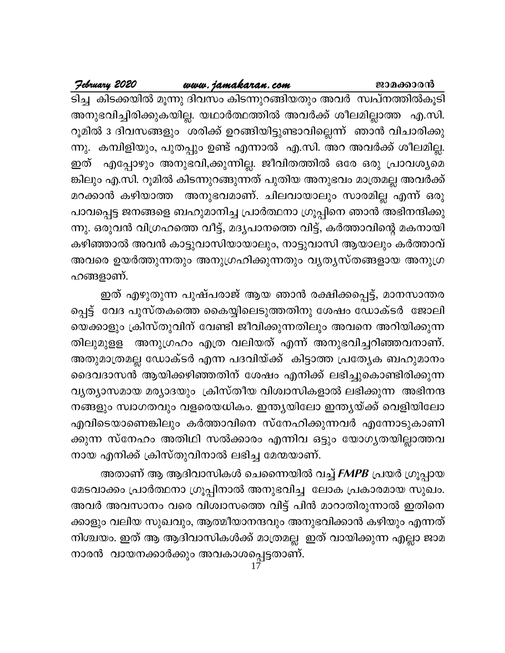### <u>www.jamakaran.com</u>

February 2020

ടിച്ച കിടക്കയിൽ മൂന്നു ദിവസം കിടന്നുറങ്ങിയതും അവർ സ്വപ്നത്തിൽകൂടി അനുഭവിച്ചിരിക്കുകയില്ല. യഥാർത്ഥത്തിൽ അവർക്ക് ശീലമില്ലാത്ത എ.സി. റൂമിൽ 3 ദിവസങ്ങളും ശരിക്ക് ഉറങ്ങിയിട്ടുണ്ടാവില്ലെന്ന് ഞാൻ വിചാരിക്കു ന്നു. കമ്പിളിയും, പുതപ്പും ഉണ്ട് എന്നാൽ എ.സി. അറ അവർക്ക് ശീലമില്ല. ഇത് എപ്പോഴും അനുഭവി,ക്കുന്നില്ല. ജീവിതത്തിൽ ഒരേ ഒരു പ്രാവശ്യമെ ങ്കിലും എ.സി. റൂമിൽ കിടന്നുറങ്ങുന്നത് പുതിയ അനുഭവം മാത്രമല്ല അവർക്ക് മറക്കാൻ കഴിയാത്ത അനുഭവമാണ്. ചിലവായാലും സാരമില്ല എന്ന് ഒരു പാവപ്പെട്ട ജനങ്ങളെ ബഹുമാനിച്ച പ്രാർത്ഥനാ ഗ്രൂപ്പിനെ ഞാൻ അഭിനന്ദിക്കു ന്നു. ഒരുവൻ വിഗ്രഹത്തെ വീട്ട്, മദൃപാനത്തെ വിട്ട്, കർത്താവിന്റെ മകനായി കഴിഞ്ഞാൽ അവൻ കാട്ടുവാസിയായാലും, നാട്ടുവാസി ആയാലും കർത്താവ് അവരെ ഉയർത്തുന്നതും അനുഗ്രഹിക്കുന്നതും വ്യത്യസ്തങ്ങളായ അനുഗ്ര ഹങ്ങളാണ്.

ഇത് എഴുതുന്ന പുഷ്പരാജ് ആയ ഞാൻ രക്ഷിക്കപ്പെട്ട്, മാനസാന്തര പ്പെട്ട് വേദ പുസ്തകത്തെ കൈയ്യിലെടുത്തതിനു ശേഷം ഡോക്ടർ ജോലി യെക്കാളും ക്രിസ്തുവിന് വേണ്ടി ജീവിക്കുന്നതിലും അവനെ അറിയിക്കുന്ന അനുഗ്രഹം എത്ര വലിയത് എന്ന് അനുഭവിച്ചറിഞ്ഞവനാണ്. തിലുമുളള അതുമാത്രമല്ല ഡോക്ടർ എന്ന പദവിയ്ക്ക് കിട്ടാത്ത പ്രത്യേക ബഹുമാനം ദൈവദാസൻ ആയിക്കഴിഞ്ഞതിന് ശേഷം എനിക്ക് ലഭിച്ചുകൊണ്ടിരിക്കുന്ന വൃത്യാസമായ മര്യാദയും ക്രിസ്തീയ വിശ്വാസികളാൽ ലഭിക്കുന്ന അഭിനന്ദ നങ്ങളും സ്വാഗതവും വളരെയധികം. ഇന്ത്യയിലോ ഇന്ത്യയ്ക്ക് വെളിയിലോ എവിടെയാണെങ്കിലും കർത്താവിനെ സ്നേഹിക്കുന്നവർ എന്നോടുകാണി ക്കുന്ന സ്നേഹം അതിഥി സൽക്കാരം എന്നിവ ഒട്ടും യോഗൃതയില്ലാത്തവ നായ എനിക്ക് ക്രിസ്തുവിനാൽ ലഭിച്ച മേന്മയാണ്.

അതാണ് ആ ആദിവാസികൾ ചെന്നൈയിൽ വച്ച് FMPB പ്രയർ ഗ്രൂപ്പായ മേടവാക്കം പ്രാർത്ഥനാ ഗ്രൂപ്പിനാൽ അനുഭവിച്ച ലോക പ്രകാരമായ സുഖം. അവർ അവസാനം വരെ വിശ്വാസത്തെ വിട്ട് പിൻ മാറാതിരുന്നാൽ ഇതിനെ ക്കാളും വലിയ സുഖവും, ആത്മീയാനന്ദവും അനുഭവിക്കാൻ കഴിയും എന്നത് നിശ്ചയം. ഇത് ആ ആദിവാസികൾക്ക് മാത്രമല്ല ഇത് വായിക്കുന്ന എല്ലാ ജാമ നാരൻ വായനക്കാർക്കും അവകാശപ്പെട്ടതാണ്.<br>17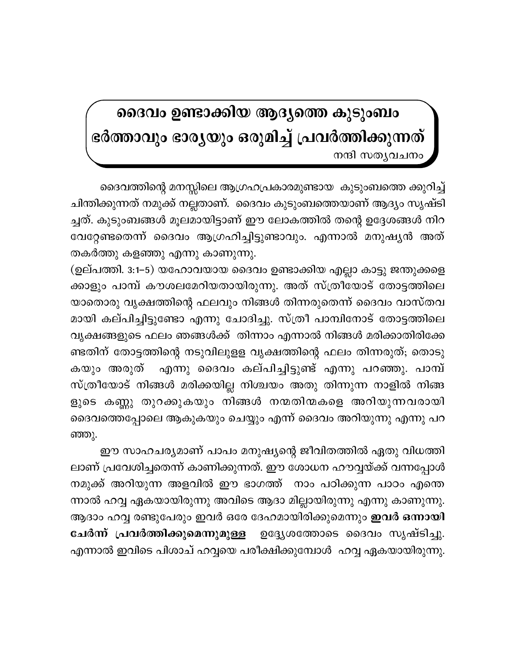## ദൈവം ഉണ്ടാക്കിയ ആദ്യത്തെ കുടുംബം ഭർത്താവും ഭാരൃയും ഒരുമിച്ച് പ്രവർത്തിക്കുന്നത്

നന്ദി സതൃവചനം

ദൈവത്തിന്റെ മനസ്സിലെ ആഗ്രഹപ്രകാരമുണ്ടായ കുടുംബത്തെ ക്കുറിച്ച് ചിന്തിക്കുന്നത് നമുക്ക് നല്ലതാണ്. ദൈവം കുടുംബത്തെയാണ് ആദ്യം സൃഷ്ടി ച്ചത്. കുടുംബങ്ങൾ മൂലമായിട്ടാണ് ഈ ലോകത്തിൽ തന്റെ ഉദ്ദേശങ്ങൾ നിറ വേറ്റേണ്ടതെന്ന് ദൈവം ആഗ്രഹിച്ചിട്ടുണ്ടാവും. എന്നാൽ മനുഷ്യൻ അത് തകർത്തു കളഞ്ഞു എന്നു കാണുന്നു.

(ഉല്പത്തി. 3:1–5) യഹോവയായ ദൈവം ഉണ്ടാക്കിയ എല്ലാ കാട്ടു ജന്തുക്കളെ ക്കാളും പാമ്പ് കൗശലമേറിയതായിരുന്നു. അത് സ്ത്രീയോട് തോട്ടത്തിലെ യാതൊരു വൃക്ഷത്തിന്റെ ഫലവും നിങ്ങൾ തിന്നരുതെന്ന് ദൈവം വാസ്തവ മായി കല്പിച്ചിട്ടുണ്ടോ എന്നു ചോദിച്ചു. സ്ത്രീ പാമ്പിനോട് തോട്ടത്തിലെ വൃക്ഷങ്ങളുടെ ഫലം ഞങ്ങൾക്ക് തിന്നാം എന്നാൽ നിങ്ങൾ മരിക്കാതിരിക്കേ ണ്ടതിന് തോട്ടത്തിന്റെ നടുവിലുളള വൃക്ഷത്തിന്റെ ഫലം തിന്നരുത്; തൊടു . എന്നു ദൈവം കല്പിച്ചിട്ടുണ്ട് എന്നു പറഞ്ഞു. പാമ്പ് കയും അരുത് സ്ത്രീയോട് നിങ്ങൾ മരിക്കയില്ല നിശ്ചയം അതു തിന്നുന്ന നാളിൽ നിങ്ങ ളുടെ കണ്ണു തുറക്കുകയും നിങ്ങൾ നന്മതിന്മകളെ അറിയുന്നവരായി ദൈവത്തെപ്പോലെ ആകുകയും ചെയ്യും എന്ന് ദൈവം അറിയുന്നു എന്നു പറ ഞ്ഞു.

ഈ സാഹചര്യമാണ് പാപം മനുഷ്യന്റെ ജീവിതത്തിൽ ഏതു വിധത്തി ലാണ് പ്രവേശിച്ചതെന്ന് കാണിക്കുന്നത്. ഈ ശോധന ഹൗവ്വയ്ക്ക് വന്നപ്പോൾ നമുക്ക് അറിയുന്ന അളവിൽ ഈ ഭാഗത്ത് നാം പഠിക്കുന്ന പാഠം എന്തെ ന്നാൽ ഹവ്വ ഏകയായിരുന്നു അവിടെ ആദാ മില്ലായിരുന്നു എന്നു കാണുന്നു. ആദാം ഹവ്വ രണ്ടുപേരും ഇവർ ഒരേ ദേഹമായിരിക്കുമെന്നും **ഇവർ ഒന്നായി** ചേർന്ന് പ്രവർത്തിക്കുമെന്നുമുള്ള \_ഉദ്ദ്യേശത്തോടെ ദൈവം സൃഷ്ടിച്ചു. എന്നാൽ ഇവിടെ പിശാച് ഹവ്വയെ പരീക്ഷിക്കുമ്പോൾ ഹവ്വ ഏകയായിരുന്നു.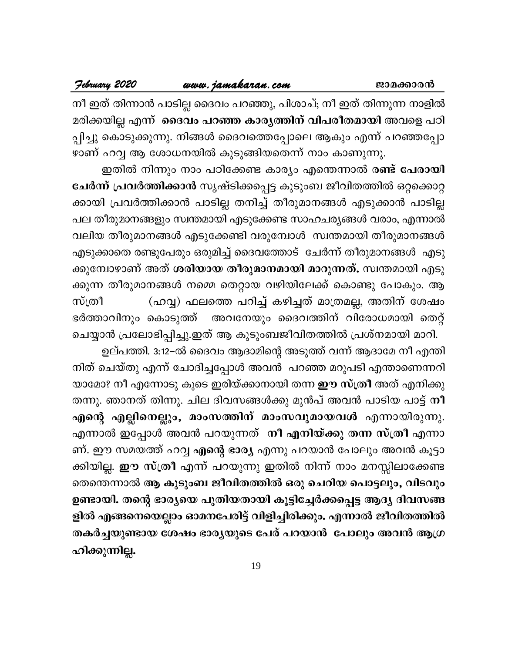#### www.jamakaran.com

നീ ഇത് തിന്നാൻ പാടില്ല ദൈവം പറഞ്ഞു, പിശാച്; നീ ഇത് തിന്നുന്ന നാളിൽ മരിക്കയില്ല എന്ന് ദൈവം പറഞ്ഞ കാരൃത്തിന് വിപരീതമായി അവളെ പഠി പ്പിച്ചു കൊടുക്കുന്നു. നിങ്ങൾ ദൈവത്തെപ്പോലെ ആകും എന്ന് പറഞ്ഞപ്പോ ഴാണ് ഹവ്വ ആ ശോധനയിൽ കുടുങ്ങിയതെന്ന് നാം കാണുന്നു.

ഇതിൽ നിന്നും നാം പഠിക്കേണ്ട കാര്യം എന്തെന്നാൽ രണ്ട് പേരായി ചേർന്ന് പ്രവർത്തിക്കാൻ സൃഷ്ടിക്കപ്പെട്ട കുടുംബ ജീവിതത്തിൽ ഒറ്റക്കൊറ്റ ക്കായി പ്രവർത്തിക്കാൻ പാടില്ല തനിച്ച് തീരുമാനങ്ങൾ എടുക്കാൻ പാടില്ല പല തീരുമാനങ്ങളും സ്വന്തമായി എടുക്കേണ്ട സാഹചര്യങ്ങൾ വരാം, എന്നാൽ വലിയ തീരുമാനങ്ങൾ എടുക്കേണ്ടി വരുമ്പോൾ സ്വന്തമായി തീരുമാനങ്ങൾ എടുക്കാതെ രണ്ടുപേരും ഒരുമിച്ച് ദൈവത്തോട് ചേർന്ന് തീരുമാനങ്ങൾ എടു ക്കുമ്പോഴാണ് അത് **ശരിയായ തീരുമാനമായി മാറുന്നത്.** സ്വന്തമായി എടു ക്കുന്ന തീരുമാനങ്ങൾ നമ്മെ തെറ്റായ വഴിയിലേക്ക് കൊണ്ടു പോകും. ആ (ഹവ്വ) ഫലത്തെ പറിച്ച് കഴിച്ചത് മാത്രമല്ല, അതിന് ശേഷം സ്ത്രീ അവനേയും ദൈവത്തിന് വിരോധമായി തെറ്റ് ഭർത്താവിനും കൊടുത്ത് ചെയ്യാൻ പ്രലോഭിപ്പിച്ചു.ഇത് ആ കുടുംബജീവിതത്തിൽ പ്രശ്നമായി മാറി.

ഉല്പത്തി. 3:12–ൽ ദൈവം ആദാമിന്റെ അടുത്ത് വന്ന് ആദാമേ നീ എന്തി നിത് ചെയ്തു എന്ന് ചോദിച്ചപ്പോൾ അവൻ പറഞ്ഞ മറുപടി എന്താണെന്നറി യാമോ? നീ എന്നോടു കൂടെ ഇരിയ്ക്കാനായി തന്ന ഈ സ്ത്രീ അത് എനിക്കു തന്നു. ഞാനത് തിന്നു. ചില ദിവസങ്ങൾക്കു മുൻപ് അവൻ പാടിയ പാട്ട് നീ എന്റെ എല്ലിനെല്ലും, മാംസത്തിന് മാംസവുമായവൾ എന്നായിരുന്നു. എന്നാൽ ഇപ്പോൾ അവൻ പറയുന്നത് നീ എ<mark>നിയ്ക്കു തന്ന സ്ത്രീ</mark> എന്നാ ണ്. ഈ സമയത്ത് ഹവ്വ എന്റെ ഭാര്യ എന്നു പറയാൻ പോലും അവൻ കൂട്ടാ ക്കിയില്ല. **ഈ സ്ത്രീ** എന്ന് പറയുന്നു ഇതിൽ നിന്ന് നാം മനസ്സിലാക്കേണ്ട തെന്തെന്നാൽ ആ കുടുംബ ജീവിതത്തിൽ ഒരു ചെറിയ പൊട്ടലും, വിടവും ഉണ്ടായി. തന്റെ ഭാര്യയെ പുതിയതായി കൂട്ടിച്ചേർക്കപ്പെട്ട ആദ്യ ദിവസങ്ങ ളിൽ എങ്ങനെയെല്ലാം ഓമനപേരിട്ട് വിളിച്ചിരിക്കും. എന്നാൽ ജീവിതത്തിൽ തകർച്ചയുണ്ടായ ശേഷം ഭാര്യയുടെ പേര് പറയാൻ പോലും അവൻ ആഗ്ര ഹിക്കുന്നില്ല.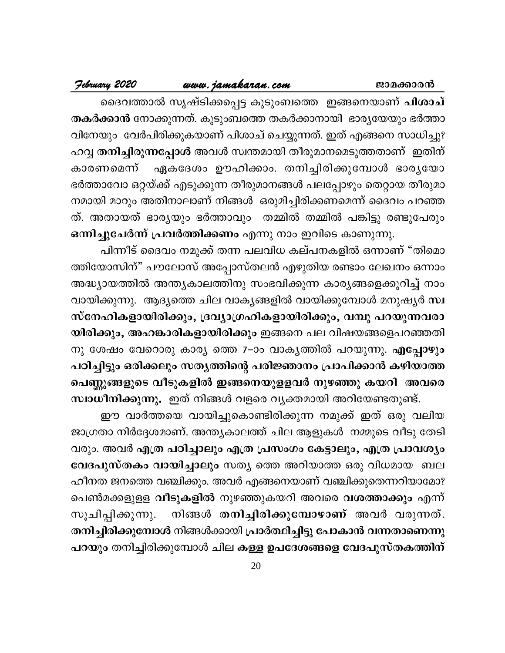### <u>www.jamakaran.com</u>

February 2020

ദൈവത്താൽ സൃഷ്ടിക്കപ്പെട്ട കുടുംബത്തെ ഇങ്ങനെയാണ് <mark>പിശാച്</mark> തകർക്കാൻ നോക്കുന്നത്. കുടുംബത്തെ തകർക്കാനായി ഭാരൃയേയും ഭർത്താ വിനേയും വേർപിരിക്കുകയാണ് പിശാച് ചെയ്യുന്നത്. ഇത് എങ്ങനെ സാധിച്ചു? ഹവ്വ <mark>തനിച്ചിരുന്നപ്പോൾ</mark> അവൾ സ്വന്തമായി തീരുമാനമെടുത്തതാണ് ഇതിന് ഏകദേശം ഊഹിക്കാം. തനിച്ചിരിക്കുമ്പോൾ ഭാരൃയോ കാരണമെന്ന് ഭർത്താവോ ഒറ്റയ്ക്ക് എടുക്കുന്ന തീരുമാനങ്ങൾ പലപ്പോഴും തെറ്റായ തീരുമാ നമായി മാറും അതിനാലാണ് നിങ്ങൾ ഒരുമിച്ചിരിക്കണമെന്ന് ദൈവം പറഞ്ഞ ത്. അതായത് ഭാര്യയും ഭർത്താവും തമ്മിൽ തമ്മിൽ പങ്കിട്ടു രണ്ടുപേരും ഒന്നിച്ചുചേർന്ന് പ്രവർത്തിക്കണം എന്നു നാം ഇവിടെ കാണുന്നു.

പിന്നീട് ദൈവം നമുക്ക് തന്ന പലവിധ കല്പനകളിൽ ഒന്നാണ് "തിമൊ ത്തിയോസിന്" പൗലോസ് അപ്പോസ്തലൻ എഴുതിയ രണ്ടാം ലേഖനം ഒന്നാം അദ്ധ്യായത്തിൽ അന്ത്യകാലത്തിനു സംഭവിക്കുന്ന കാര്യങ്ങളെക്കുറിച്ച് നാം വായിക്കുന്നു. ആദ്യത്തെ ചില വാകൃങ്ങളിൽ വായിക്കുമ്പോൾ മനുഷ്യർ സ്വ സ്നേഹികളായിരിക്കും, ദ്രവ്യാഗ്രഹികളായിരിക്കും, വമ്പു പറയുന്നവരാ യിരിക്കും, അഹങ്കാരികളായിരിക്കും ഇങ്ങനെ പല വിഷയങ്ങളെപറഞ്ഞതി നു ശേഷം വേറൊരു കാര്യ ത്തെ 7–ാം വാകൃത്തിൽ പറയുന്നു. എപ്പോഴും പഠിച്ചിട്ടും ഒരിക്കലും സതൃത്തിന്റെ പരിജ്ഞാനം പ്രാപിക്കാൻ കഴിയാത്ത പെണ്ണുങ്ങളുടെ വീടുകളിൽ ഇങ്ങനെയുളളവർ നുഴഞ്ഞു കയറി അവരെ സ്വാധീനിക്കുന്നു. ഇത് നിങ്ങൾ വളരെ വ്യക്തമായി അറിയേണ്ടതുണ്ട്.

ഈ വാർത്തയെ വായിച്ചുകൊണ്ടിരിക്കുന്ന നമുക്ക് ഇത് ഒരു വലിയ ജാഗ്രതാ നിർദ്ദേശമാണ്. അന്ത്യകാലത്ത് ചില ആളുകൾ നമ്മുടെ വീടു തേടി വരും. അവർ എത്ര പഠിച്ചാലും എത്ര പ്രസംഗം കേട്ടാലും, എത്ര പ്രാവശ്യം വേദപുസ്തകം വായിച്ചാലും സതൃ ത്തെ അറിയാത്ത ഒരു വിധമായ ബല ഹീനത ജനത്തെ വഞ്ചിക്കും. അവർ എങ്ങനെയാണ് വഞ്ചിക്കുതെന്നറിയാമോ? പെൺമക്കളുളള <mark>വീടുകളിൽ</mark> നുഴഞ്ഞുകയറി അവരെ <mark>വശത്താക്കും</mark> എന്ന് നിങ്ങൾ തനിച്ചിരിക്കുമ്പോഴാണ് അവർ വരുന്നത്. സൂചിപ്പിക്കുന്നു. തനിച്ചിരിക്കുമ്പോൾ നിങ്ങൾക്കായി പ്രാർത്ഥിച്ചിട്ടു പോകാൻ വന്നതാണെന്നു പറയും തനിച്ചിരിക്കുമ്പോൾ ചില കള്ള ഉപദേശങ്ങളെ വേദപുസ്തകത്തിന്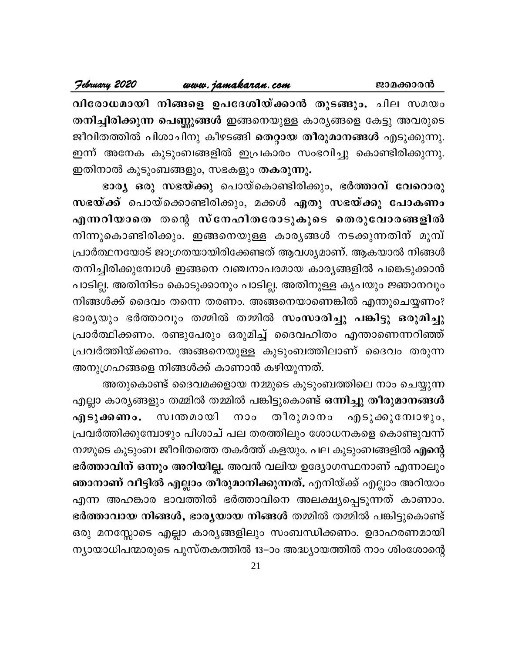#### February 2020

www.jamakaran.com

വിരോധമായി നിങ്ങളെ ഉപദേശിയ്ക്കാൻ തുടങ്ങും. ചില സമയം തനിച്ചിരിക്കുന്ന പെണ്ണുങ്ങൾ ഇങ്ങനെയുള്ള കാര്യങ്ങളെ കേട്ടു അവരുടെ ജീവിതത്തിൽ പിശാചിനു കീഴടങ്ങി <mark>തെറ്റായ തീരുമാനങ്ങൾ</mark> എടുക്കുന്നു. ഇന്ന് അനേക കുടുംബങ്ങളിൽ ഇപ്രകാരം സംഭവിച്ചു കൊണ്ടിരിക്കുന്നു. ഇതിനാൽ കുടുംബങ്ങളും, സഭകളും തകരുന്നു.

ഭാര്യ ഒരു സഭയ്ക്കു പൊയ്കൊണ്ടിരിക്കും, ഭർത്താവ് വേറൊരു സഭയ്ക്ക് പൊയ്ക്കൊണ്ടിരിക്കും, മക്കൾ ഏതു സഭയ്ക്കു പോകണം എന്നറിയാതെ തന്റെ സ്നേഹിതരോടുകൂടെ തെരുവോരങ്ങളിൽ നിന്നുകൊണ്ടിരിക്കും. ഇങ്ങനെയുള്ള കാരൃങ്ങൾ നടക്കുന്നതിന് മുമ്പ് പ്രാർത്ഥനയോട് ജാഗ്രതയായിരിക്കേണ്ടത് ആവശ്യമാണ്. ആകയാൽ നിങ്ങൾ തനിച്ചിരിക്കുമ്പോൾ ഇങ്ങനെ വഞ്ചനാപരമായ കാര്യങ്ങളിൽ പങ്കെടുക്കാൻ പാടില്ല. അതിനിടം കൊടുക്കാനും പാടില്ല. അതിനുള്ള കൃപയും ജ്ഞാനവും നിങ്ങൾക്ക് ദൈവം തന്നെ തരണം. അങ്ങനെയാണെങ്കിൽ എന്തുചെയ്യണം? ഭാര്യയും ഭർത്താവും തമ്മിൽ തമ്മിൽ സംസാരിച്ചു പങ്കിട്ടു ഒരുമിച്ചു പ്രാർത്ഥിക്കണം. രണ്ടുപേരും ഒരുമിച്ച് ദൈവഹിതം എന്താണെന്നറിഞ്ഞ് പ്രവർത്തിയ്ക്കണം. അങ്ങനെയുള്ള കുടുംബത്തിലാണ് ദൈവം തരുന്ന അനുഗ്രഹങ്ങളെ നിങ്ങൾക്ക് കാണാൻ കഴിയുന്നത്.

അതുകൊണ്ട് ദൈവമക്കളായ നമ്മുടെ കുടുംബത്തിലെ നാം ചെയ്യുന്ന എല്ലാ കാര്യങ്ങളും തമ്മിൽ തമ്മിൽ പങ്കിട്ടുകൊണ്ട് <mark>ഒന്നിച്ചു തീരുമാനങ്ങൾ</mark> തീരുമാനം സ്വന്തമായി നാം എടുക്കുമ്പോഴും, എടുക്കണം. പ്രവർത്തിക്കുമ്പോഴും പിശാച് പല തരത്തിലും ശോധനകളെ കൊണ്ടുവന്ന് നമ്മുടെ കുടുംബ ജീവിതത്തെ തകർത്ത് കളയും. പല കുടുംബങ്ങളിൽ <mark>എന്റെ</mark> ഭർത്താവിന് ഒന്നും അറിയില്ല. അവൻ വലിയ ഉദ്യോഗസ്ഥനാണ് എന്നാലും ഞാനാണ് വീട്ടിൽ എല്ലാം തീരുമാനിക്കുന്നത്. എനിയ്ക്ക് എല്ലാം അറിയാം എന്ന അഹങ്കാര ഭാവത്തിൽ ഭർത്താവിനെ അലക്ഷ്യപ്പെടുന്നത് കാണാം. ഭർത്താവായ നിങ്ങൾ, ഭാര്യയായ നിങ്ങൾ തമ്മിൽ തമ്മിൽ പങ്കിട്ടുകൊണ്ട് ഒരു മനസ്സോടെ എല്ലാ കാര്യങ്ങളിലും സംബന്ധിക്കണം. ഉദാഹരണമായി ന്യായാധിപന്മാരുടെ പുസ്തകത്തിൽ 13–ാം അദ്ധ്യായത്തിൽ നാം ശിംശോന്റെ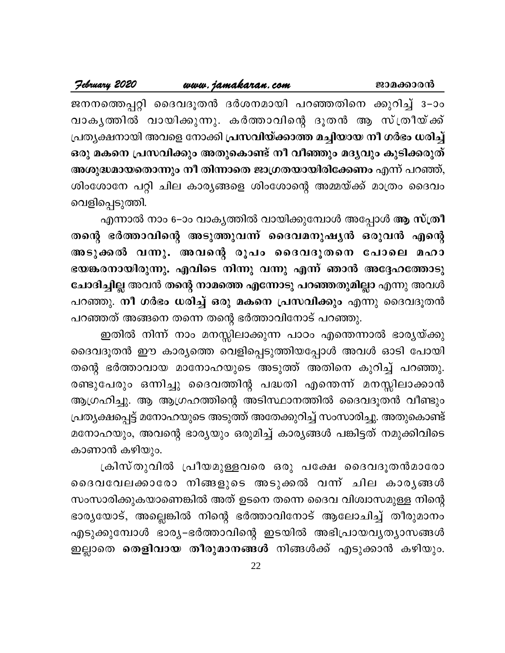www.jamakaran.com

ജനനത്തെപ്പറ്റി ദൈവദൂതൻ ദർശനമായി പറഞ്ഞതിനെ ക്കുറിച്ച് 3–ാം വാകൃത്തിൽ വായിക്കുന്നു. കർത്താവിന്റെ ദൂതൻ ആ സ്ത്രീയ്ക്ക് പ്രത്യക്ഷനായി അവളെ നോക്കി പ്രസവിയ്ക്കാത്ത മച്ചിയായ നീ ഗർഭം ധരിച്ച് ഒരു മകനെ പ്രസവിക്കും അതുകൊണ്ട് നീ വീഞ്ഞും മദൃവും കുടിക്കരുത് അശുദ്ധമായതൊന്നും നീ തിന്നാതെ ജാഗ്രതയായിരിക്കേണം എന്ന് പറഞ്ഞ്, ശിംശോനേ പറ്റി ചില കാര്യങ്ങളെ ശിംശോന്റെ അമ്മയ്ക്ക് മാത്രം ദൈവം വെളിപ്പെടുത്തി.

എന്നാൽ നാം 6–ാം വാകൃത്തിൽ വായിക്കുമ്പോൾ അപ്പോൾ **ആ സ്ത്രീ** തന്റെ ഭർത്താവിന്റെ അടുത്തുവന്ന് ദൈവമനുഷ്യൻ ഒരുവൻ എന്റെ അടുക്കൽ വന്നു. അവന്റെ രൂപം ദൈവദൂതനെ പോലെ മഹാ ഭയങ്കരനായിരുന്നു. എവിടെ നിന്നു വന്നു എന്ന് ഞാൻ അദ്ദേഹത്തോടു ചോദിച്ചില്ല അവൻ തന്റെ നാമത്തെ എന്നോടു പറഞ്ഞതുമില്ലാ എന്നു അവൾ പറഞ്ഞു. നീ ഗർഭം ധരിച്ച് ഒരു മകനെ പ്രസവിക്കും എന്നു ദൈവദൂതൻ പറഞ്ഞത് അങ്ങനെ തന്നെ തന്റെ ഭർത്താവിനോട് പറഞ്ഞു.

ഇതിൽ നിന്ന് നാം മനസ്സിലാക്കുന്ന പാഠം എന്തെന്നാൽ ഭാര്യയ്ക്കു ദൈവദൂതൻ ഈ കാര്യത്തെ വെളിപ്പെടുത്തിയപ്പോൾ അവൾ ഓടി പോയി തന്റെ ഭർത്താവായ മാനോഹയുടെ അടുത്ത് അതിനെ കുറിച്ച് പറഞ്ഞു. രണ്ടുപേരും ഒന്നിച്ചു ദൈവത്തിന്റ പദ്ധതി എന്തെന്ന് മനസ്സിലാക്കാൻ ആഗ്രഹിച്ചു. ആ ആഗ്രഹത്തിന്റെ അടിസ്ഥാനത്തിൽ ദൈവദൂതൻ വീണ്ടും പ്രത്യക്ഷപ്പെട്ട് മനോഹയുടെ അടുത്ത് അതേക്കുറിച്ച് സംസാരിച്ചു. അതുകൊണ്ട് മനോഹയും, അവന്റെ ഭാര്യയും ഒരുമിച്ച് കാര്യങ്ങൾ പങ്കിട്ടത് നമുക്കിവിടെ കാണാൻ കഴിയും.

ക്രിസ്തുവിൽ പ്രീയമുള്ളവരെ ഒരു പക്ഷേ ദൈവദൂതൻമാരോ ദൈവവേലക്കാരോ നിങ്ങളുടെ അടുക്കൽ വന്ന് ചില കാരൃങ്ങൾ സംസാരിക്കുകയാണെങ്കിൽ അത് ഉടനെ തന്നെ ദൈവ വിശ്വാസമുള്ള നിന്റെ ഭാര്യയോട്, അല്ലെങ്കിൽ നിന്റെ ഭർത്താവിനോട് ആലോചിച്ച് തീരുമാനം എടുക്കുമ്പോൾ ഭാര്യ-ഭർത്താവിന്റെ ഇടയിൽ അഭിപ്രായവൃത്യാസങ്ങൾ ഇല്ലാതെ <mark>തെളിവായ തീരുമാനങ്ങൾ</mark> നിങ്ങൾക്ക് എടുക്കാൻ കഴിയും.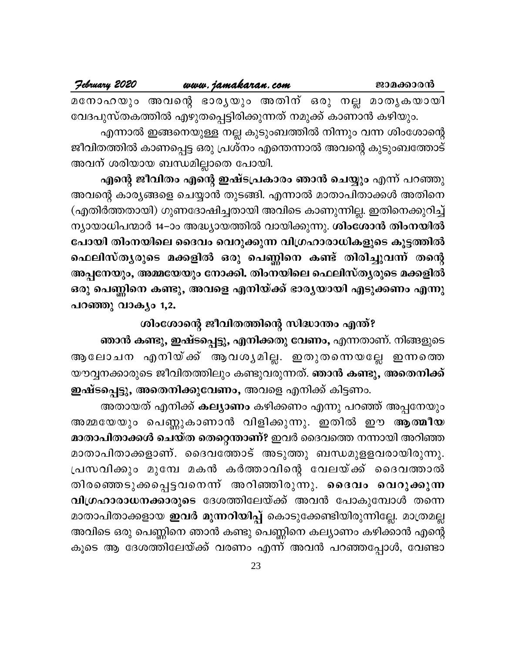| February 2020 | www.jamakaran.com |  |  | ജാമക്കാരൻ |                                                  |
|---------------|-------------------|--|--|-----------|--------------------------------------------------|
|               |                   |  |  |           | മനോഹയും അവന്റെ ഭാര്യയും അതിന് ഒരു നല്ല മാതൃകയായി |

വേദപുസ്തകത്തിൽ എഴുതപ്പെട്ടിരിക്കുന്നത് നമുക്ക് കാണാൻ കഴിയും. എന്നാൽ ഇങ്ങനെയുള്ള നല്ല കുടുംബത്തിൽ നിന്നും വന്ന ശിംശോന്റെ ജീവിതത്തിൽ കാണപ്പെട്ട ഒരു പ്രശ്നം എന്തെന്നാൽ അവന്റെ കുടുംബത്തോട് അവന് ശരിയായ ബന്ധമില്ലാതെ പോയി.

എന്റെ ജീവിതം എന്റെ ഇഷ്ടപ്രകാരം ഞാൻ ചെയ്യും എന്ന് പറഞ്ഞു അവന്റെ കാര്യങ്ങളെ ചെയ്യാൻ തുടങ്ങി. എന്നാൽ മാതാപിതാക്കൾ അതിനെ (എതിർത്തതായി) ഗുണദോഷിച്ചതായി അവിടെ കാണുന്നില്ല. ഇതിനെക്കുറിച്ച് ന്യായാധിപന്മാർ 14–ാം അദ്ധ്യായത്തിൽ വായിക്കുന്നു. ശിംശോൻ തിംനയിൽ പോയി തിംനയിലെ ദൈവം വെറുക്കുന്ന വിഗ്രഹാരാധികളുടെ കൂട്ടത്തിൽ ഫെലിസ്തൃരുടെ മക്കളിൽ ഒരു പെണ്ണിനെ കണ്ട് തിരിച്ചുവന്ന് തന്റെ അപ്പനേയും, അമ്മയേയും നോക്കി. തിംനയിലെ ഫെലിസ്ത്യരുടെ മക്കളിൽ ഒരു പെണ്ണിനെ കണ്ടു, അവളെ എനിയ്ക്ക് ഭാര്യയായി എടുക്കണം എന്നു പറഞ്ഞു വാക്യം 1,2.

ശിംശോന്റെ ജീവിതത്തിന്റെ സിദ്ധാന്തം എന്ത്?

ഞാൻ കണ്ടു, ഇഷ്ടപ്പെട്ടു, എനിക്കതു വേണം, എന്നതാണ്. നിങ്ങളുടെ ആലോചന എനിയ്ക്ക് ആവശ്യമില്ല. ഇതുതന്നെയല്ലേ ഇന്നത്തെ യൗവ്വനക്കാരുടെ ജീവിതത്തിലും കണ്ടുവരുന്നത്. **ഞാൻ കണ്ടു, അതെനിക്ക്** ഇഷ്ടപ്പെട്ടു, അതെനിക്കുവേണം, അവളെ എനിക്ക് കിട്ടണം.

അതായത് എനിക്ക് കല്യാണം കഴിക്കണം എന്നു പറഞ്ഞ് അപ്പനേയും അമ്മയേയും പെണ്ണുകാണാൻ വിളിക്കുന്നു. ഇതിൽ ഈ ആത്മീയ മാതാപിതാക്കൾ ചെയ്ത തെറ്റെന്താണ്? ഇവർ ദൈവത്തെ നന്നായി അറിഞ്ഞ മാതാപിതാക്കളാണ്. ദൈവത്തോട് അടുത്തു ബന്ധമുളളവരായിരുന്നു. പ്രസവിക്കും മുമ്പേ മകൻ കർത്താവിന്റെ വേലയ്ക്ക് ദൈവത്താൽ തിരഞ്ഞെടുക്കപ്പെട്ടവനെന്ന് അറിഞ്ഞിരുന്നു. ദൈവം വെറുക്കുന്ന വിഗ്രഹാരാധനക്കാരുടെ ദേശത്തിലേയ്ക്ക് അവൻ പോകുമ്പോൾ തന്നെ മാതാപിതാക്കളായ **ഇവർ മുന്നറിയിപ്പ്** കൊടുക്കേണ്ടിയിരുന്നില്ലേ. മാത്രമല്ല അവിടെ ഒരു പെണ്ണിനെ ഞാൻ കണ്ടു പെണ്ണിനെ കല്യാണം കഴിക്കാൻ എന്റെ കൂടെ ആ ദേശത്തിലേയ്ക്ക് വരണം എന്ന് അവൻ പറഞ്ഞപ്പോൾ, വേണ്ടാ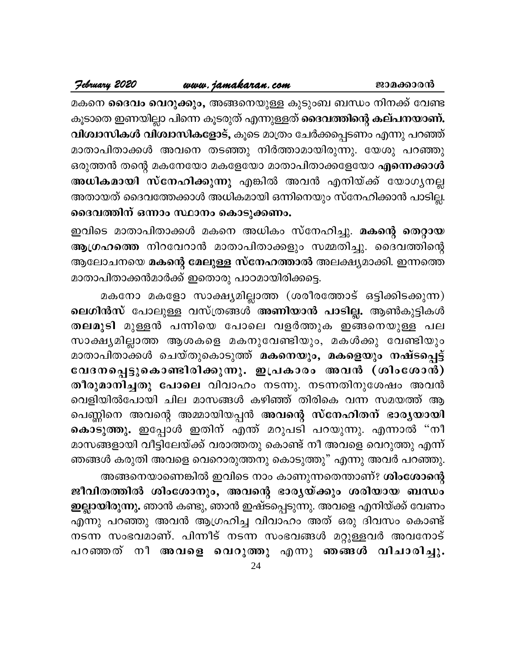മകനെ **ദൈവം വെറുക്കും,** അങ്ങനെയുള്ള കുടുംബ ബന്ധം നിനക്ക് വേണ്ട കൂടാതെ ഇണയില്ലാ പിന്നെ കൂടരുത് എന്നുള്ളത് ദൈവത്തിന്റെ കല്പനയാണ്. വിശ്വാസികൾ വിശ്വാസികളോട്, കൂടെ മാത്രം ചേർക്കപ്പെടണം എന്നു പറഞ്ഞ് മാതാപിതാക്കൾ അവനെ തടഞ്ഞു നിർത്താമായിരുന്നു. യേശു പറഞ്ഞു ഒരുത്തൻ തന്റെ മകനേയോ മകളേയോ മാതാപിതാക്കളേയോ എന്നെക്കാൾ അധികമായി സ്നേഹിക്കുന്നു എങ്കിൽ അവൻ എനിയ്ക്ക് യോഗൃനല്ല അതായത് ദൈവത്തേക്കാൾ അധികമായി ഒന്നിനെയും സ്നേഹിക്കാൻ പാടില്ല. ദൈവത്തിന് ഒന്നാം സ്ഥാനം കൊടുക്കണം.

ഇവിടെ മാതാപിതാക്കൾ മകനെ അധികം സ്നേഹിച്ചു. മകന്റെ തെറ്റായ ആഗ്രഹത്തെ നിറവേറാൻ മാതാപിതാക്കളും സമ്മതിച്ചു. ദൈവത്തിന്റെ ആലോചനയെ <mark>മകന്റെ മേലുള്ള സ്നേഹത്താ</mark>ൽ അലക്ഷ്യമാക്കി. ഇന്നത്തെ മാതാപിതാക്കൻമാർക്ക് ഇതൊരു പാഠമായിരിക്കട്ടെ.

മകനോ മകളോ സാക്ഷ്യമില്ലാത്ത (ശരീരത്തോട് ഒട്ടിക്കിടക്കുന്ന) ലെഗിൻസ് പോലുള്ള വസ്ത്രങ്ങൾ അണിയാൻ പാടില്ല. ആൺകുട്ടികൾ തലമുടി മുള്ളൻ പന്നിയെ പോലെ വളർത്തുക ഇങ്ങനെയുള്ള പല സാക്ഷ്യമില്ലാത്ത ആശകളെ മകനുവേണ്ടിയും, മകൾക്കു വേണ്ടിയും മാതാപിതാക്കൾ ചെയ്തുകൊടുത്ത് മകനെയും, മകളെയും നഷ്ടപ്പെട്ട് വേദനപ്പെട്ടുകൊണ്ടിരിക്കുന്നു. ഇപ്രകാരം അവൻ (ശിംശോൻ) തീരുമാനിച്ചതു പോലെ വിവാഹം നടന്നു. നടന്നതിനുശേഷം അവൻ വെളിയിൽപോയി ചില മാസങ്ങൾ കഴിഞ്ഞ് തിരികെ വന്ന സമയത്ത് ആ പെണ്ണിനെ അവന്റെ അമ്മായിയപ്പൻ <mark>അവന്റെ സ്നേഹിതന് ഭാരൃയായി</mark> കൊടുത്തു. ഇപ്പോൾ ഇതിന് എന്ത് മറുപടി പറയുന്നു. എന്നാൽ "നീ മാസങ്ങളായി വീട്ടിലേയ്ക്ക് വരാത്തതു കൊണ്ട് നീ അവളെ വെറുത്തു എന്ന് ഞങ്ങൾ കരുതി അവളെ വെറൊരുത്തനു കൊടുത്തു" എന്നു അവർ പറഞ്ഞു.

അങ്ങനെയാണെങ്കിൽ ഇവിടെ നാം കാണുന്നതെന്താണ്? ശിംശോന്റെ ജീവിതത്തിൽ ശിംശോനും, അവന്റെ ഭാരൃയ്ക്കും ശരിയായ ബന്ധം ഇല്ലായിരുന്നു. ഞാൻ കണ്ടു, ഞാൻ ഇഷ്ടപ്പെടുന്നു. അവളെ എനിയ്ക്ക് വേണം എന്നു പറഞ്ഞു അവൻ ആഗ്രഹിച്ച വിവാഹം അത് ഒരു ദിവസം കൊണ്ട് നടന്ന സംഭവമാണ്. പിന്നീട് നടന്ന സംഭവങ്ങൾ മറ്റുള്ളവർ അവനോട് പറഞ്ഞത് നീ അവളെ വെറുത്തു എന്നു ഞങ്ങൾ വിചാരിച്ചു.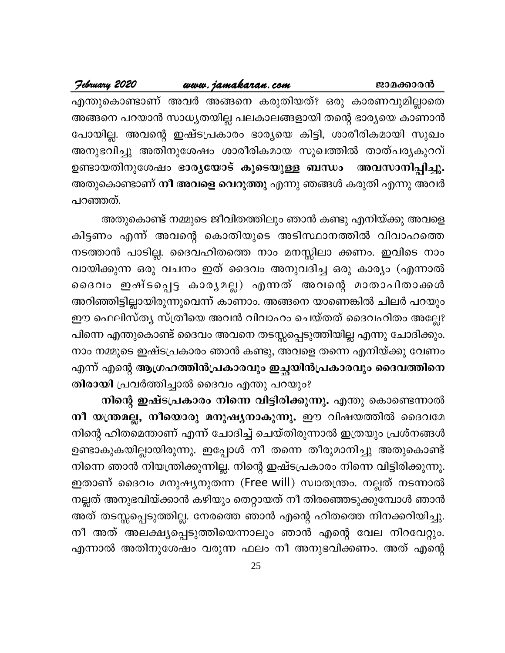#### www.jamakaran.com February 2020

എന്തുകൊണ്ടാണ് അവർ അങ്ങനെ കരുതിയത്? ഒരു കാരണവുമില്ലാതെ അങ്ങനെ പറയാൻ സാധ്യതയില്ല പലകാലങ്ങളായി തന്റെ ഭാര്യയെ കാണാൻ പോയില്ല. അവന്റെ ഇഷ്ടപ്രകാരം ഭാര്യയെ കിട്ടി, ശാരീരികമായി സുഖം അനുഭവിച്ചു അതിനുശേഷം ശാരീരികമായ സുഖത്തിൽ താത്പര്യകുറവ് ഉണ്ടായതിനുശേഷം ഭാരൃയോട് കൂടെയുള്ള ബന്ധം അവസാനിപ്പിച്ചു. അതുകൊണ്ടാണ് <mark>നീ അവളെ വെറുത്തു</mark> എന്നു ഞങ്ങൾ കരുതി എന്നു അവർ പറഞ്ഞത്.

അതുകൊണ്ട് നമ്മുടെ ജീവിതത്തിലും ഞാൻ കണ്ടു എനിയ്ക്കു അവളെ കിട്ടണം എന്ന് അവന്റെ കൊതിയുടെ അടിസ്ഥാനത്തിൽ വിവാഹത്തെ നടത്താൻ പാടില്ല. ദൈവഹിതത്തെ നാം മനസ്സിലാ ക്കണം. ഇവിടെ നാം വായിക്കുന്ന ഒരു വചനം ഇത് ദൈവം അനുവദിച്ച ഒരു കാര്യം (എന്നാൽ ദൈവം ഇഷ്ടപ്പെട്ട കാരൃമല്ല) എന്നത് അവന്റെ മാതാപിതാക്കൾ അറിഞ്ഞിട്ടില്ലായിരുന്നുവെന്ന് കാണാം. അങ്ങനെ യാണെങ്കിൽ ചിലർ പറയും ഈ ഫെലിസ്ത്യ സ്ത്രീയെ അവൻ വിവാഹം ചെയ്തത് ദൈവഹിതം അല്ലേ? പിന്നെ എന്തുകൊണ്ട് ദൈവം അവനെ തടസ്സപ്പെടുത്തിയില്ല എന്നു ചോദിക്കും. നാം നമ്മുടെ ഇഷ്ടപ്രകാരം ഞാൻ കണ്ടു, അവളെ തന്നെ എനിയ്ക്കു വേണം എന്ന് എന്റെ ആഗ്രഹത്തിൻപ്രകാരവും ഇച്ഛയിൻപ്രകാരവും ദൈവത്തിനെ തിരായി പ്രവർത്തിച്ചാൽ ദൈവം എന്തു പറയും?

നിന്റെ ഇഷ്ടപ്രകാരം നിന്നെ വിട്ടിരിക്കുന്നു. എന്തു കൊണ്ടെന്നാൽ നീ യന്ത്രമല്ല, നീയൊരു മനുഷ്യനാകുന്നു. ഈ വിഷയത്തിൽ ദൈവമേ നിന്റെ ഹിതമെന്താണ് എന്ന് ചോദിച്ച് ചെയ്തിരുന്നാൽ ഇത്രയും പ്രശ്നങ്ങൾ ഉണ്ടാകുകയില്ലായിരുന്നു. ഇപ്പോൾ നീ തന്നെ തീരുമാനിച്ചു അതുകൊണ്ട് നിന്നെ ഞാൻ നിയന്ത്രിക്കുന്നില്ല. നിന്റെ ഇഷ്ടപ്രകാരം നിന്നെ വിട്ടിരിക്കുന്നു. ഇതാണ് ദൈവം മനുഷ്യനുതന്ന (Free will) സ്വാതന്ത്രം. നല്ലത് നടന്നാൽ നല്ലത് അനുഭവിയ്ക്കാൻ കഴിയും തെറ്റായത് നീ തിരഞ്ഞെടുക്കുമ്പോൾ ഞാൻ അത് തടസ്സപ്പെടുത്തില്ല. നേരത്തെ ഞാൻ എന്റെ ഹിതത്തെ നിനക്കറിയിച്ചു. നീ അത് അലക്ഷ്യപ്പെടുത്തിയെന്നാലും ഞാൻ എന്റെ വേല നിറവേറ്റും. എന്നാൽ അതിനുശേഷം വരുന്ന ഫലം നീ അനുഭവിക്കണം. അത് എന്റെ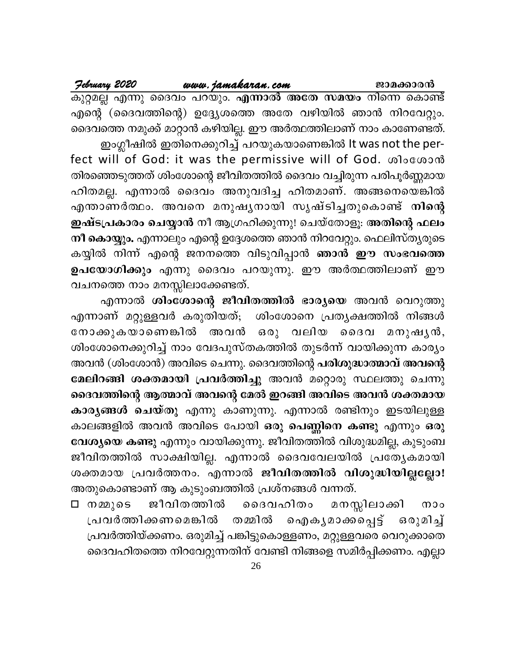എന്റെ (ദൈവത്തിന്റെ) ഉദ്ദ്യേശത്തെ അതേ വഴിയിൽ ഞാൻ നിറവേറ്റും. ദൈവത്തെ നമുക്ക് മാറ്റാൻ കഴിയില്ല. ഈ അർത്ഥത്തിലാണ് നാം കാണേണ്ടത്. ഇംഗ്ലീഷിൽ ഇതിനെക്കുറിച്ച് പറയുകയാണെങ്കിൽ It was not the perfect will of God: it was the permissive will of God. coloccoond തിരഞ്ഞെടുത്തത് ശിംശോന്റെ ജീവിതത്തിൽ ദൈവം വച്ചിരുന്ന പരിപൂർണ്ണമായ ഹിതമല്ല. എന്നാൽ ദൈവം അനുവദിച്ച ഹിതമാണ്. അങ്ങനെയെങ്കിൽ എന്താണർത്ഥം. അവനെ മനുഷൃനായി സൃഷ്ടിച്ചതുകൊണ്ട് നിന്റെ ഇഷ്ടപ്രകാരം ചെയ്യാൻ നീ ആഗ്രഹിക്കുന്നു! ചെയ്തോളൂ. അതിന്റെ ഫലം നീ കൊയ്യും. എന്നാലും എന്റെ ഉദ്ദേശത്തെ ഞാൻ നിറവേറ്റും. ഫെലിസ്ത്യരുടെ കയ്യിൽ നിന്ന് എന്റെ ജനനത്തെ വിടുവിപ്പാൻ ഞാൻ ഈ സംഭവത്തെ ഉപയോഗിക്കും എന്നു ദൈവം പറയുന്നു. ഈ അർത്ഥത്തിലാണ് ഈ വചനത്തെ നാം മനസ്സിലാക്കേണ്ടത്.

എന്നാൽ ശിംശോന്റെ ജീവിതത്തിൽ ഭാര്യയെ അവൻ വെറുത്തു എന്നാണ് മറ്റുള്ളവർ കരുതിയത്; ശിംശോനെ പ്രത്യക്ഷത്തിൽ നിങ്ങൾ നോക്കുകയാണെങ്കിൽ അവൻ ഒരു വലിയ ൈവ മനുഷൃൻ, ശിംശോനെക്കുറിച്ച് നാം വേദപുസ്തകത്തിൽ തുടർന്ന് വായിക്കുന്ന കാര്യം അവൻ (ശിംശോൻ) അവിടെ ചെന്നു. ദൈവത്തിന്റെ പരിശുദ്ധാത്മാവ് അവന്റെ മേലിറങ്ങി ശക്തമായി പ്രവർത്തിച്ചു അവൻ മറ്റൊരു സ്ഥലത്തു ചെന്നു ദൈവത്തിന്റെ ആത്മാവ് അവന്റെ മേൽ ഇറങ്ങി അവിടെ അവൻ ശക്തമായ കാര്യങ്ങൾ ചെയ്തു എന്നു കാണുന്നു. എന്നാൽ രണ്ടിനും ഇടയിലുള്ള കാലങ്ങളിൽ അവൻ അവിടെ പോയി ഒരു പെണ്ണിനെ കണ്ടു എന്നും ഒരു വേശ്യയെ കണ്ടു എന്നും വായിക്കുന്നു. ജീവിതത്തിൽ വിശുദ്ധമില്ല, കുടുംബ ജീവിതത്തിൽ സാക്ഷിയില്ല. എന്നാൽ ദൈവവേലയിൽ പ്രത്യേകമായി ശക്തമായ പ്രവർത്തനം. എന്നാൽ ജീവിതത്തിൽ വിശുദ്ധിയില്ലല്ലോ! അതുകൊണ്ടാണ് ആ കുടുംബത്തിൽ പ്രശ്നങ്ങൾ വന്നത്.

മനസ്സിലാക്കി ദെവഹിതം ⊡ നമ്മുടെ ജീവിതത്തിൽ  $000$ തമ്മിൽ ഐകൃമാക്കപ്പെട്ട് ഒരുമിച്ച് പ്രവർത്തിക്കണമെങ്കിൽ പ്രവർത്തിയ്ക്കണം. ഒരുമിച്ച് പങ്കിട്ടുകൊള്ളണം, മറ്റുള്ളവരെ വെറുക്കാതെ ദൈവഹിതത്തെ നിറവേറ്റുന്നതിന് വേണ്ടി നിങ്ങളെ സമിർപ്പിക്കണം. എല്ലാ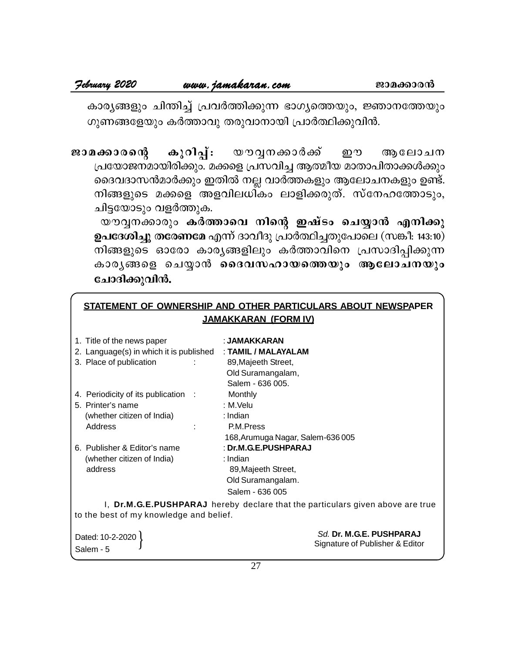$\frac{1}{2}$  *ebruary* **2020** *www.jamakaran.com* **equals approached and all**  $P$  $\frac{1}{2}$  **(algorithmage and**  $P$  $\frac{1}{2}$  **(algorithmage and**  $P$  $\frac{1}{2}$  **(algorithmage and**  $P$  $\frac{1}{2}$  **(algorithmage and**  $P$  $\frac{1}{2}$  **(algori** കാര്യങ്ങളും ചിന്തിച്ച് പ്രവർത്തിക്കുന്ന ഭാഗ്യത്തെയും, ജ്ഞാനത്തേയും ഗുണങ്ങളേയും കർത്താവു തരുവാനായി പ്രാർത്ഥിക്കുവിൻ.

<del>7. 2020 **2020 മ**യേ മരണ്ട് കോ</del>ര്യമെ കാര്യങ്ങളും ചിന്തിച്ച് പ്രവർത്തിക്കുന്ന ഭാഗ്യത്തെയും, ജ്ഞാനത്തേയും<br>കാര്യങ്ങളും ചിന്തിച്ച് പ്രവർത്തിക്കുന്ന ഭാഗ്യത്തെയും, ജ്ഞാനത്തേയും<br>ഗുണങ്ങളേയും കർത്താവു തരുവാനായി പ്രാർത്ഥിക്കുവിൻ.<br>ജാ (പയോജനമായിരിക്കും. മക്കളെ പ്രസവിച്ച ആത്മീയ മാതാപിതാക്കൾക്കും ദെവദാസൻമാർക്കും ഇതിൽ നല്ല വാർത്തകളും ആലോചനകളും ഉണ്ട്. ്<br>സ്കാരന്റെ കുറിപ്പ്: യൗവ്വനക്കാർക്ക് ഈ ആലോചന<br>പ്രയോജനമായിരിക്കും മക്കളെ പ്രസവിച്ച ആത്മീയമാതാപിതാക്കൾക്കും<br>ദൈവദാസൻമാർക്കും ഇതിൽ നല്ല വാർത്തകളും ആലോചനകളും ഉണ്ട്.<br>നിങ്ങളുടെ മക്കളെ അളവിലധികം ലാളിക്കരുത്. സ്നേഹത്തോടും,<br>ചിട്ടയ ചിട്ടയോടും വളർത്തുക. കാരത്തു - കുറവ്പ്പ. - യാര്യസ്താര്ക്ക് - ഇര് ആലോമന<br>പയോജനമായിരിക്കും മക്കളെ പ്രസവിച്ച ആത്മീയ മാതാപിതാക്കൾക്കും<br>ദെവദാസൻമാർക്കും ഇതിൽ നല്ല വാർത്തകളും ആലോചനകളും ഉണ്ട്.<br>വിട്ടയോടും വളർത്തുക.<br>വ്യോടും വളർത്തുക.<br>പദേശിച്ചു തരേണമേ എന

**ഉപദേശിച്ചു തരേണമേ** എന്ന് ദാവീദു പ്രാർത്ഥിച്ചതുപോലെ (സങ്കീ: 143:10) നിങ്ങളുടെ ഓരോ കാരൃങ്ങളിലും കർത്താവിനെ പ്രസാദിപ്പിക്കുന്ന കാരൃങ്ങളെ ചെയ്യാൻ ദൈവസഹായത്തെയും ആലോചനയും ചോദിക്കുവിൻ.

#### **STATEMENT OF OWNERSHIP AND OTHER PARTICULARS ABOUT NEWSPAPER JAMAKKARAN (FORM IV)**

| 1. Title of the news paper              | : JAMAKKARAN                                                                   |  |
|-----------------------------------------|--------------------------------------------------------------------------------|--|
| 2. Language(s) in which it is published | : TAMIL / MALAYALAM                                                            |  |
| 3. Place of publication                 | 89, Majeeth Street,                                                            |  |
|                                         | Old Suramangalam,                                                              |  |
|                                         | Salem - 636 005.                                                               |  |
| 4. Periodicity of its publication :     | Monthly                                                                        |  |
| 5. Printer's name                       | : M.Velu                                                                       |  |
| (whether citizen of India)              | : Indian                                                                       |  |
| Address                                 | P.M.Press                                                                      |  |
|                                         | 168, Arumuga Nagar, Salem-636 005                                              |  |
| 6. Publisher & Editor's name            | : Dr.M.G.E.PUSHPARAJ                                                           |  |
| (whether citizen of India)              | : Indian                                                                       |  |
| address                                 | 89, Majeeth Street,                                                            |  |
|                                         | Old Suramangalam.                                                              |  |
|                                         | Salem - 636 005                                                                |  |
|                                         | I, Dr.M.G.E.PUSHPARAJ hereby declare that the particulars given above are true |  |
| to the best of my knowledge and belief. |                                                                                |  |

| Dated: 10-2-2020 | Sd. Dr. M.G.E. PUSHPARAJ        |
|------------------|---------------------------------|
| Salem - 5        | Signature of Publisher & Editor |